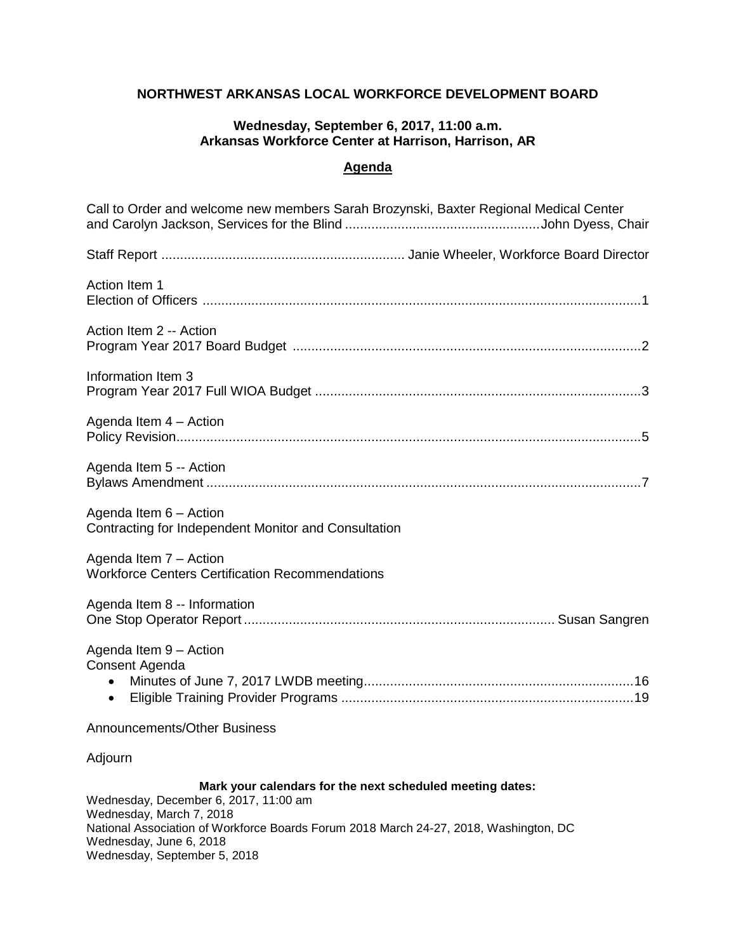#### **NORTHWEST ARKANSAS LOCAL WORKFORCE DEVELOPMENT BOARD**

#### **Wednesday, September 6, 2017, 11:00 a.m. Arkansas Workforce Center at Harrison, Harrison, AR**

## **Agenda**

| Call to Order and welcome new members Sarah Brozynski, Baxter Regional Medical Center                                                                                                                                                              |
|----------------------------------------------------------------------------------------------------------------------------------------------------------------------------------------------------------------------------------------------------|
|                                                                                                                                                                                                                                                    |
| Action Item 1                                                                                                                                                                                                                                      |
| Action Item 2 -- Action                                                                                                                                                                                                                            |
| Information Item 3                                                                                                                                                                                                                                 |
| Agenda Item 4 - Action                                                                                                                                                                                                                             |
| Agenda Item 5 -- Action                                                                                                                                                                                                                            |
| Agenda Item 6 - Action<br>Contracting for Independent Monitor and Consultation                                                                                                                                                                     |
| Agenda Item 7 - Action<br><b>Workforce Centers Certification Recommendations</b>                                                                                                                                                                   |
| Agenda Item 8 -- Information                                                                                                                                                                                                                       |
| Agenda Item 9 - Action<br>Consent Agenda<br>$\bullet$                                                                                                                                                                                              |
| Announcements/Other Business                                                                                                                                                                                                                       |
| Adjourn                                                                                                                                                                                                                                            |
| Mark your calendars for the next scheduled meeting dates:<br>Wednesday, December 6, 2017, 11:00 am<br>Wednesday, March 7, 2018<br>National Association of Workforce Boards Forum 2018 March 24-27, 2018, Washington, DC<br>Wednesday, June 6, 2018 |

Wednesday, September 5, 2018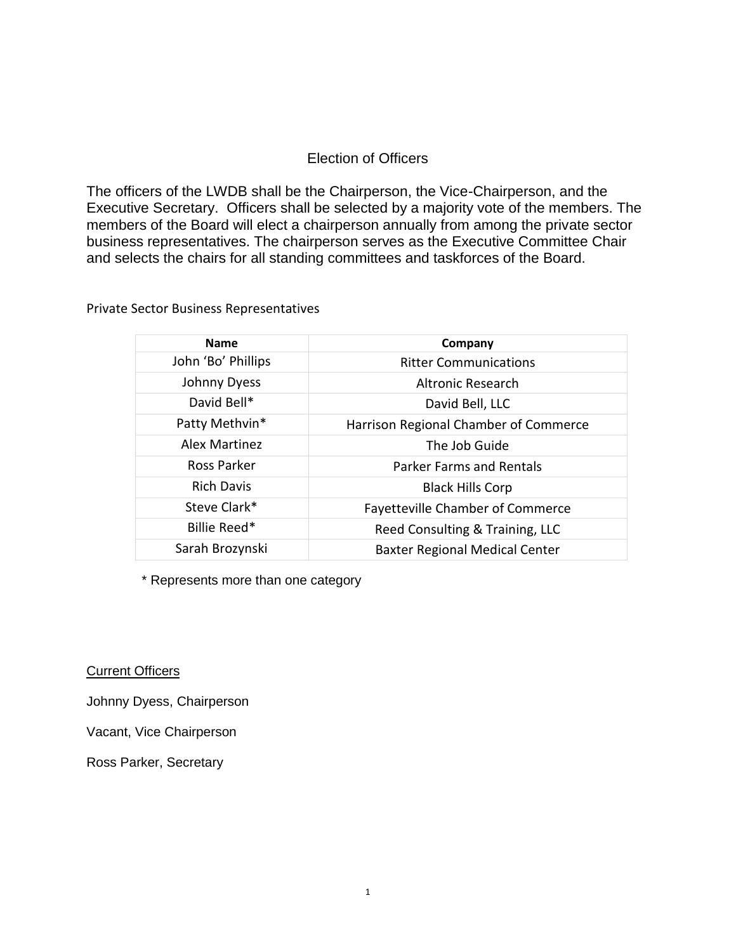#### Election of Officers

The officers of the LWDB shall be the Chairperson, the Vice-Chairperson, and the Executive Secretary. Officers shall be selected by a majority vote of the members. The members of the Board will elect a chairperson annually from among the private sector business representatives. The chairperson serves as the Executive Committee Chair and selects the chairs for all standing committees and taskforces of the Board.

Private Sector Business Representatives

| <b>Name</b>        | Company                               |
|--------------------|---------------------------------------|
| John 'Bo' Phillips | <b>Ritter Communications</b>          |
| Johnny Dyess       | Altronic Research                     |
| David Bell*        | David Bell, LLC                       |
| Patty Methvin*     | Harrison Regional Chamber of Commerce |
| Alex Martinez      | The Job Guide                         |
| Ross Parker        | <b>Parker Farms and Rentals</b>       |
| <b>Rich Davis</b>  | <b>Black Hills Corp</b>               |
| Steve Clark*       | Fayetteville Chamber of Commerce      |
| Billie Reed*       | Reed Consulting & Training, LLC       |
| Sarah Brozynski    | <b>Baxter Regional Medical Center</b> |

\* Represents more than one category

**Current Officers** 

Johnny Dyess, Chairperson

Vacant, Vice Chairperson

Ross Parker, Secretary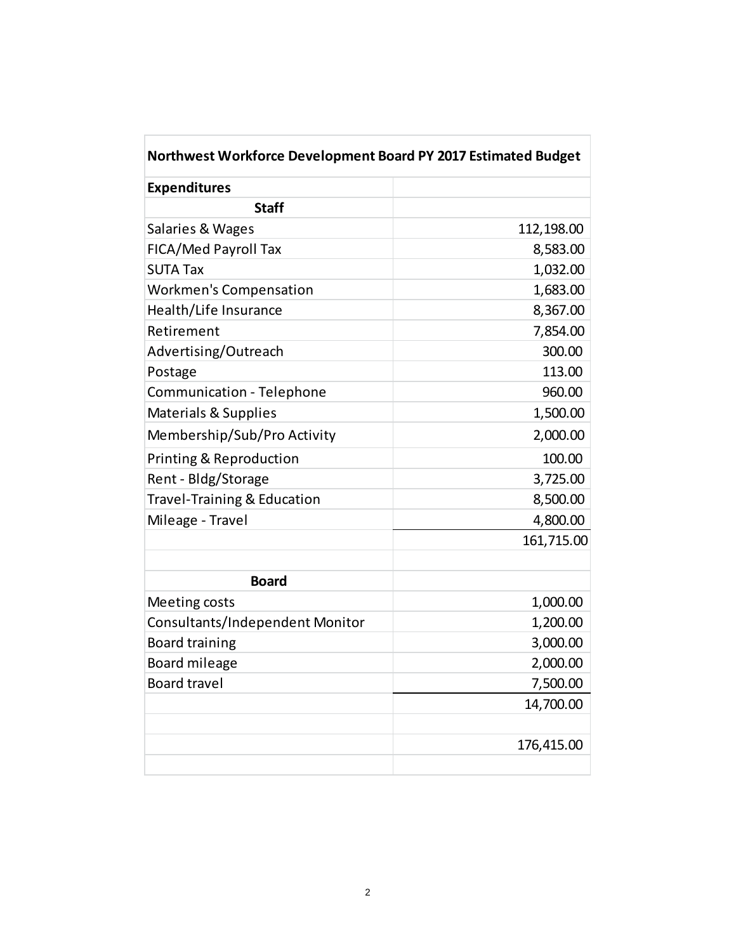| Northwest Workforce Development Board PY 2017 Estimated Budget |            |
|----------------------------------------------------------------|------------|
| <b>Expenditures</b>                                            |            |
| <b>Staff</b>                                                   |            |
| Salaries & Wages                                               | 112,198.00 |
| FICA/Med Payroll Tax                                           | 8,583.00   |
| <b>SUTA Tax</b>                                                | 1,032.00   |
| <b>Workmen's Compensation</b>                                  | 1,683.00   |
| Health/Life Insurance                                          | 8,367.00   |
| Retirement                                                     | 7,854.00   |
| Advertising/Outreach                                           | 300.00     |
| Postage                                                        | 113.00     |
| Communication - Telephone                                      | 960.00     |
| <b>Materials &amp; Supplies</b>                                | 1,500.00   |
| Membership/Sub/Pro Activity                                    | 2,000.00   |
| Printing & Reproduction                                        | 100.00     |
| Rent - Bldg/Storage                                            | 3,725.00   |
| <b>Travel-Training &amp; Education</b>                         | 8,500.00   |
| Mileage - Travel                                               | 4,800.00   |
|                                                                | 161,715.00 |
| <b>Board</b>                                                   |            |
| Meeting costs                                                  | 1,000.00   |
| Consultants/Independent Monitor                                | 1,200.00   |
| <b>Board training</b>                                          | 3,000.00   |
| Board mileage                                                  | 2,000.00   |
| <b>Board travel</b>                                            | 7,500.00   |
|                                                                | 14,700.00  |
|                                                                |            |
|                                                                | 176,415.00 |
|                                                                |            |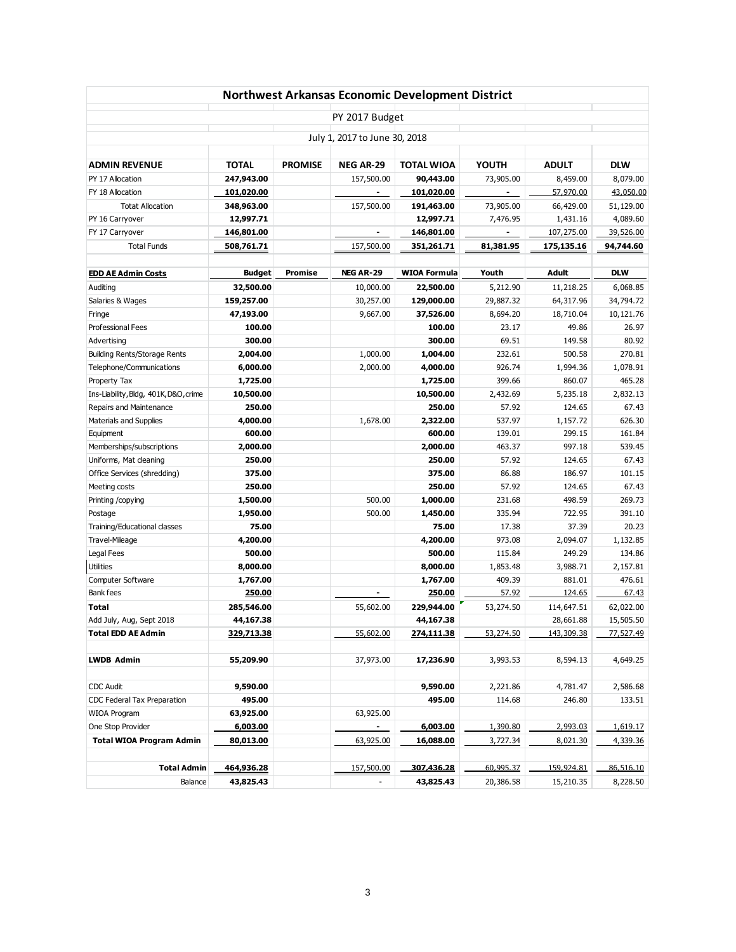|                                       |               |                |                               | Northwest Arkansas Economic Development District |           |              |            |
|---------------------------------------|---------------|----------------|-------------------------------|--------------------------------------------------|-----------|--------------|------------|
|                                       |               |                | PY 2017 Budget                |                                                  |           |              |            |
|                                       |               |                | July 1, 2017 to June 30, 2018 |                                                  |           |              |            |
|                                       |               |                |                               |                                                  |           |              |            |
| <b>ADMIN REVENUE</b>                  | <b>TOTAL</b>  | <b>PROMISE</b> | <b>NEG AR-29</b>              | <b>TOTAL WIOA</b>                                | YOUTH     | <b>ADULT</b> | <b>DLW</b> |
| PY 17 Allocation                      | 247,943.00    |                | 157,500.00                    | 90,443.00                                        | 73,905.00 | 8,459.00     | 8,079.00   |
| FY 18 Allocation                      | 101,020.00    |                |                               | 101,020.00                                       |           | 57,970.00    | 43,050.00  |
| <b>Totat Allocation</b>               | 348,963.00    |                | 157,500.00                    | 191,463.00                                       | 73,905.00 | 66,429.00    | 51,129.00  |
| PY 16 Carryover                       | 12,997.71     |                |                               | 12,997.71                                        | 7,476.95  | 1,431.16     | 4,089.60   |
| FY 17 Carryover                       | 146,801.00    |                | ٠                             | 146,801.00                                       |           | 107,275.00   | 39,526.00  |
| <b>Total Funds</b>                    | 508,761.71    |                | 157,500.00                    | 351,261.71                                       | 81,381.95 | 175,135.16   | 94,744.60  |
|                                       |               |                |                               |                                                  |           |              |            |
| <b>EDD AE Admin Costs</b>             | <b>Budget</b> | <b>Promise</b> | <b>NEG AR-29</b>              | <b>WIOA Formula</b>                              | Youth     | Adult        | <b>DLW</b> |
| Auditing                              | 32,500.00     |                | 10,000.00                     | 22,500.00                                        | 5,212.90  | 11,218.25    | 6,068.85   |
| Salaries & Wages                      | 159,257.00    |                | 30,257.00                     | 129,000.00                                       | 29,887.32 | 64,317.96    | 34,794.72  |
| Fringe                                | 47,193.00     |                | 9,667.00                      | 37,526.00                                        | 8,694.20  | 18,710.04    | 10,121.76  |
| <b>Professional Fees</b>              | 100.00        |                |                               | 100.00                                           | 23.17     | 49.86        | 26.97      |
| Advertising                           | 300.00        |                |                               | 300.00                                           | 69.51     | 149.58       | 80.92      |
| <b>Building Rents/Storage Rents</b>   | 2,004.00      |                | 1,000.00                      | 1,004.00                                         | 232.61    | 500.58       | 270.81     |
| Telephone/Communications              | 6,000.00      |                | 2,000.00                      | 4,000.00                                         | 926.74    | 1,994.36     | 1,078.91   |
| Property Tax                          | 1,725.00      |                |                               | 1,725.00                                         | 399.66    | 860.07       | 465.28     |
| Ins-Liability, Bldg, 401K, D&O, crime | 10,500.00     |                |                               | 10,500.00                                        | 2,432.69  | 5,235.18     | 2,832.13   |
| Repairs and Maintenance               | 250.00        |                |                               | 250.00                                           | 57.92     | 124.65       | 67.43      |
| Materials and Supplies                | 4,000.00      |                | 1,678.00                      | 2,322.00                                         | 537.97    | 1,157.72     | 626.30     |
| Equipment                             | 600.00        |                |                               | 600.00                                           | 139.01    | 299.15       | 161.84     |
| Memberships/subscriptions             | 2,000.00      |                |                               | 2,000.00                                         | 463.37    | 997.18       | 539.45     |
| Uniforms, Mat cleaning                | 250.00        |                |                               | 250.00                                           | 57.92     | 124.65       | 67.43      |
| Office Services (shredding)           | 375.00        |                |                               | 375.00                                           | 86.88     | 186.97       | 101.15     |
| Meeting costs                         | 250.00        |                |                               | 250.00                                           | 57.92     | 124.65       | 67.43      |
| Printing /copying                     | 1,500.00      |                | 500.00                        | 1,000.00                                         | 231.68    | 498.59       | 269.73     |
| Postage                               | 1,950.00      |                | 500.00                        | 1,450.00                                         | 335.94    | 722.95       | 391.10     |
| Training/Educational classes          | 75.00         |                |                               | 75.00                                            | 17.38     | 37.39        | 20.23      |
| Travel-Mileage                        | 4,200.00      |                |                               | 4,200.00                                         | 973.08    | 2,094.07     | 1,132.85   |
| Legal Fees                            | 500.00        |                |                               | 500.00                                           | 115.84    | 249.29       | 134.86     |
| <b>Utilities</b>                      | 8,000.00      |                |                               | 8,000.00                                         | 1,853.48  | 3,988.71     | 2,157.81   |
| Computer Software                     | 1,767.00      |                |                               | 1,767.00                                         | 409.39    | 881.01       | 476.61     |
| Bank fees                             | 250.00        |                | ٠                             | 250.00                                           | 57.92     | 124.65       | 67.43      |
| <b>Total</b>                          | 285,546.00    |                | 55,602.00                     | 229,944.00                                       | 53,274.50 | 114,647.51   | 62,022.00  |
| Add July, Aug, Sept 2018              | 44,167.38     |                |                               | 44,167.38                                        |           | 28,661.88    | 15,505.50  |
| <b>Total EDD AE Admin</b>             | 329,713.38    |                | 55,602.00                     | 274,111.38                                       | 53,274.50 | 143,309.38   | 77,527.49  |
|                                       |               |                |                               |                                                  |           |              |            |
| <b>LWDB Admin</b>                     | 55,209.90     |                | 37,973.00                     | 17,236.90                                        | 3,993.53  | 8,594.13     | 4,649.25   |
| <b>CDC Audit</b>                      | 9,590.00      |                |                               | 9,590.00                                         | 2,221.86  | 4,781.47     | 2,586.68   |
| CDC Federal Tax Preparation           | 495.00        |                |                               | 495.00                                           | 114.68    | 246.80       | 133.51     |
| WIOA Program                          | 63,925.00     |                | 63,925.00                     |                                                  |           |              |            |
| One Stop Provider                     | 6,003.00      |                | ٠                             | 6,003.00                                         | 1,390.80  | 2,993.03     | 1,619.17   |
| <b>Total WIOA Program Admin</b>       | 80,013.00     |                | 63,925.00                     | 16,088.00                                        | 3,727.34  | 8,021.30     | 4,339.36   |
|                                       |               |                |                               |                                                  |           |              |            |
| <b>Total Admin</b>                    | 464,936.28    |                | 157,500.00                    | 307,436.28                                       | 60.995.37 | 159,924.81   | 86,516.10  |
| Balance                               | 43,825.43     |                |                               | 43,825.43                                        | 20,386.58 | 15,210.35    | 8,228.50   |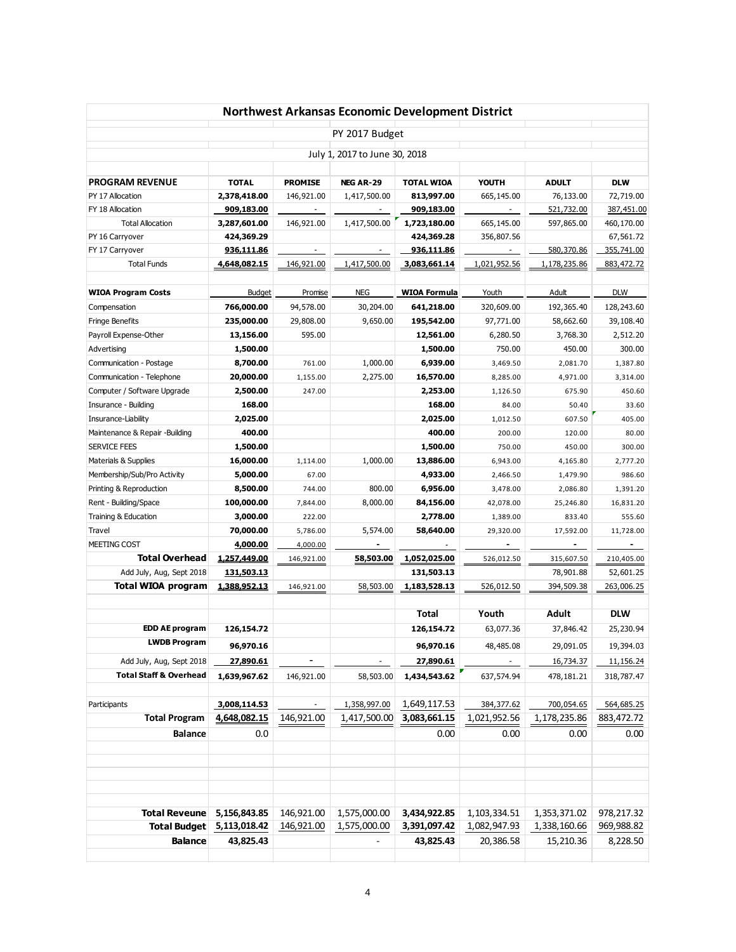|                                      |                              |                          |                               | Northwest Arkansas Economic Development District |                             |                            |              |
|--------------------------------------|------------------------------|--------------------------|-------------------------------|--------------------------------------------------|-----------------------------|----------------------------|--------------|
|                                      |                              |                          | PY 2017 Budget                |                                                  |                             |                            |              |
|                                      |                              |                          | July 1, 2017 to June 30, 2018 |                                                  |                             |                            |              |
| <b>PROGRAM REVENUE</b>               | <b>TOTAL</b>                 | <b>PROMISE</b>           | NEG AR-29                     | <b>TOTAL WIOA</b>                                | <b>YOUTH</b>                | <b>ADULT</b>               | <b>DLW</b>   |
| PY 17 Allocation                     | 2,378,418.00                 | 146,921.00               | 1,417,500.00                  | 813,997.00                                       | 665,145.00                  | 76,133.00                  | 72,719.00    |
| FY 18 Allocation                     | 909,183.00                   | $\overline{\phantom{a}}$ |                               | 909,183.00                                       | $\overline{\phantom{a}}$    | 521,732.00                 | 387,451.00   |
| <b>Total Allocation</b>              | 3,287,601.00                 | 146,921.00               | 1,417,500.00                  | 1,723,180.00                                     | 665,145.00                  | 597,865.00                 | 460,170.00   |
| PY 16 Carryover                      | 424,369.29                   |                          |                               | 424,369.28                                       | 356,807.56                  |                            | 67,561.72    |
| FY 17 Carryover                      | 936,111.86                   | $\overline{\phantom{a}}$ | $\overline{\phantom{a}}$      | 936,111.86                                       | $\overline{\phantom{a}}$    | 580,370.86                 | 355,741.00   |
| <b>Total Funds</b>                   | 4,648,082.15                 | 146,921.00               | 1,417,500.00                  | 3,083,661.14                                     | 1,021,952.56                | 1,178,235.86               | 883, 472. 72 |
| <b>WIOA Program Costs</b>            | <b>Budget</b>                | Promise                  | NEG                           | <b>WIOA Formula</b>                              | Youth                       | Adult                      | <b>DLW</b>   |
| Compensation                         | 766,000.00                   | 94,578.00                | 30,204.00                     | 641,218.00                                       | 320,609.00                  | 192,365.40                 | 128,243.60   |
| Fringe Benefits                      | 235,000.00                   | 29,808.00                | 9,650.00                      | 195,542.00                                       | 97,771.00                   | 58,662.60                  | 39,108.40    |
| Payroll Expense-Other                | 13,156.00                    | 595.00                   |                               | 12,561.00                                        | 6,280.50                    | 3,768.30                   | 2,512.20     |
| Advertising                          | 1,500.00                     |                          |                               | 1,500.00                                         | 750.00                      | 450.00                     | 300.00       |
| Communication - Postage              | 8,700.00                     | 761.00                   | 1,000.00                      | 6,939.00                                         | 3,469.50                    | 2,081.70                   | 1,387.80     |
| Communication - Telephone            | 20,000.00                    | 1,155.00                 | 2,275.00                      | 16,570.00                                        | 8,285.00                    | 4,971.00                   | 3,314.00     |
| Computer / Software Upgrade          | 2,500.00                     | 247.00                   |                               | 2,253.00                                         | 1,126.50                    | 675.90                     | 450.60       |
| Insurance - Building                 | 168.00                       |                          |                               | 168.00                                           | 84.00                       | 50.40                      | 33.60        |
| Insurance-Liability                  | 2,025.00                     |                          |                               | 2,025.00                                         | 1,012.50                    | 607.50                     | 405.00       |
| Maintenance & Repair -Building       | 400.00                       |                          |                               | 400.00                                           | 200.00                      | 120.00                     | 80.00        |
| <b>SERVICE FEES</b>                  | 1,500.00                     |                          |                               | 1,500.00                                         | 750.00                      | 450.00                     | 300.00       |
| Materials & Supplies                 | 16,000.00                    | 1,114.00                 | 1,000.00                      | 13,886.00                                        | 6,943.00                    | 4,165.80                   | 2,777.20     |
| Membership/Sub/Pro Activity          | 5,000.00                     | 67.00                    |                               | 4,933.00                                         | 2,466.50                    | 1,479.90                   | 986.60       |
| Printing & Reproduction              | 8,500.00                     | 744.00                   | 800.00                        | 6,956.00                                         | 3,478.00                    | 2,086.80                   | 1,391.20     |
| Rent - Building/Space                | 100,000.00                   | 7,844.00                 | 8,000.00                      | 84,156.00                                        | 42,078.00                   | 25,246.80                  | 16,831.20    |
| Training & Education                 | 3,000.00                     | 222.00                   |                               | 2,778.00                                         | 1,389.00                    | 833.40                     | 555.60       |
| Travel                               | 70,000.00                    | 5,786.00                 | 5,574.00                      | 58,640.00                                        | 29,320.00                   | 17,592.00                  | 11,728.00    |
| MEETING COST                         | 4,000.00                     | 4,000.00                 |                               |                                                  |                             |                            |              |
| <b>Total Overhead</b>                | 1,257,449.00                 | 146,921.00               | 58,503.00                     | 1,052,025.00                                     | 526,012.50                  | 315,607.50                 | 210,405.00   |
| Add July, Aug, Sept 2018             | 131,503.13                   |                          |                               | 131,503.13                                       |                             | 78,901.88                  | 52,601.25    |
| <b>Total WIOA program</b>            | 1,388,952.13                 | 146,921.00               | 58,503.00                     | 1,183,528.13                                     | 526,012.50                  | 394,509.38                 | 263,006.25   |
|                                      |                              |                          |                               | Total                                            | Youth                       | Adult                      | <b>DLW</b>   |
| <b>EDD AE program</b>                | 126,154.72                   |                          |                               | 126,154.72                                       | 63,077.36                   | 37,846.42                  | 25,230.94    |
| LWDB Program                         | 96,970.16                    |                          |                               | 96,970.16                                        | 48,485.08                   | 29,091.05                  | 19,394.03    |
| Add July, Aug, Sept 2018             | 27,890.61                    |                          |                               | 27,890.61                                        |                             | 16,734.37                  | 11,156.24    |
| <b>Total Staff &amp; Overhead</b>    | 1,639,967.62                 | 146,921.00               | 58,503.00                     | 1,434,543.62                                     | 637,574.94                  | 478,181.21                 | 318,787.47   |
|                                      |                              |                          |                               | 1,649,117.53                                     |                             |                            |              |
| Participants<br><b>Total Program</b> | 3,008,114.53<br>4,648,082.15 | 146,921.00               | 1,358,997.00<br>1,417,500.00  | 3,083,661.15                                     | 384, 377.62<br>1,021,952.56 | 700,054.65<br>1,178,235.86 | 564,685.25   |
| <b>Balance</b>                       |                              |                          |                               |                                                  | 0.00                        |                            | 883,472.72   |
|                                      | 0.0                          |                          |                               | 0.00                                             |                             | 0.00                       | 0.00         |
|                                      |                              |                          |                               |                                                  |                             |                            |              |
| <b>Total Reveune</b>                 | 5,156,843.85                 | 146,921.00               | 1,575,000.00                  | 3,434,922.85                                     | 1,103,334.51                | 1,353,371.02               | 978,217.32   |
| <b>Total Budget</b>                  | 5,113,018.42                 | 146,921.00               | 1,575,000.00                  | 3,391,097.42                                     | 1,082,947.93                | 1,338,160.66               | 969,988.82   |
| <b>Balance</b>                       | 43,825.43                    |                          |                               | 43,825.43                                        | 20,386.58                   | 15,210.36                  | 8,228.50     |
|                                      |                              |                          |                               |                                                  |                             |                            |              |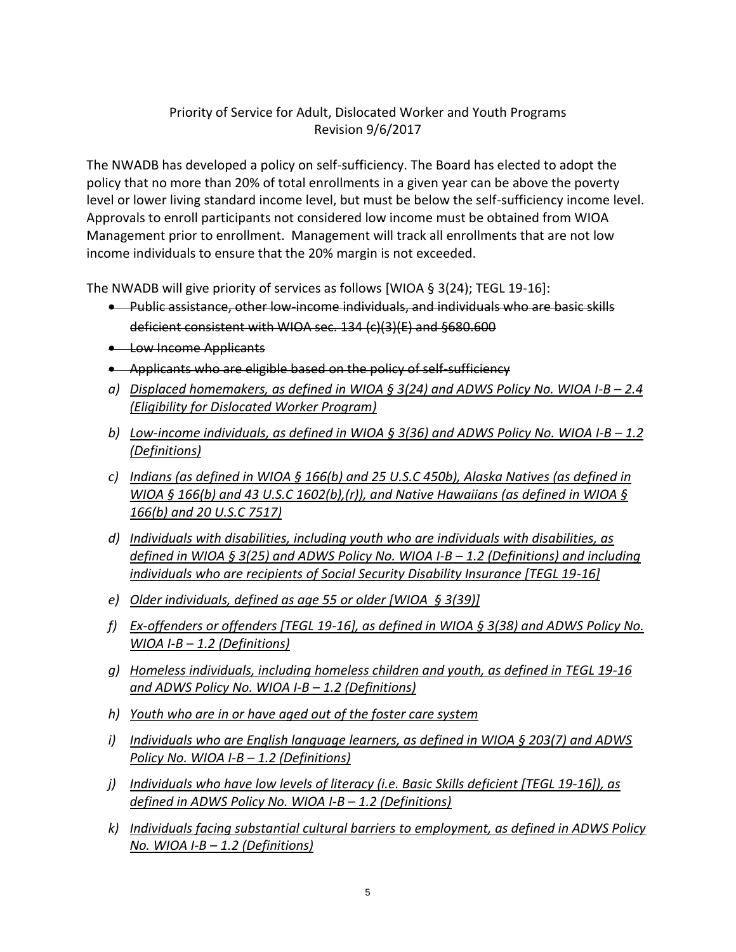## Priority of Service for Adult, Dislocated Worker and Youth Programs Revision 9/6/2017

The NWADB has developed a policy on self-sufficiency. The Board has elected to adopt the policy that no more than 20% of total enrollments in a given year can be above the poverty level or lower living standard income level, but must be below the self-sufficiency income level. Approvals to enroll participants not considered low income must be obtained from WIOA Management prior to enrollment. Management will track all enrollments that are not low income individuals to ensure that the 20% margin is not exceeded.

The NWADB will give priority of services as follows [WIOA § 3(24); TEGL 19-16]:

- Public assistance, other low-income individuals, and individuals who are basic skills deficient consistent with WIOA sec. 134 (c)(3)(E) and §680.600
- **Low Income Applicants**
- Applicants who are eligible based on the policy of self-sufficiency
- a) Displaced homemakers, as defined in WIOA § 3(24) and ADWS Policy No. WIOA I-B 2.4 *(Eligibility for Dislocated Worker Program)*
- *b) Low-income individuals, as defined in WIOA § 3(36) and ADWS Policy No. WIOA I-B – 1.2 (Definitions)*
- *c) Indians (as defined in WIOA § 166(b) and 25 U.S.C 450b), Alaska Natives (as defined in WIOA § 166(b) and 43 U.S.C 1602(b),(r)), and Native Hawaiians (as defined in WIOA § 166(b) and 20 U.S.C 7517)*
- *d) Individuals with disabilities, including youth who are individuals with disabilities, as defined in WIOA § 3(25) and ADWS Policy No. WIOA I-B – 1.2 (Definitions) and including individuals who are recipients of Social Security Disability Insurance [TEGL 19-16]*
- *e) Older individuals, defined as age 55 or older [WIOA § 3(39)]*
- *f) Ex-offenders or offenders [TEGL 19-16], as defined in WIOA § 3(38) and ADWS Policy No. WIOA I-B – 1.2 (Definitions)*
- *g) Homeless individuals, including homeless children and youth, as defined in TEGL 19-16 and ADWS Policy No. WIOA I-B – 1.2 (Definitions)*
- *h) Youth who are in or have aged out of the foster care system*
- *i) Individuals who are English language learners, as defined in WIOA § 203(7) and ADWS Policy No. WIOA I-B – 1.2 (Definitions)*
- *j) Individuals who have low levels of literacy (i.e. Basic Skills deficient [TEGL 19-16]), as defined in ADWS Policy No. WIOA I-B – 1.2 (Definitions)*
- *k) Individuals facing substantial cultural barriers to employment, as defined in ADWS Policy No. WIOA I-B – 1.2 (Definitions)*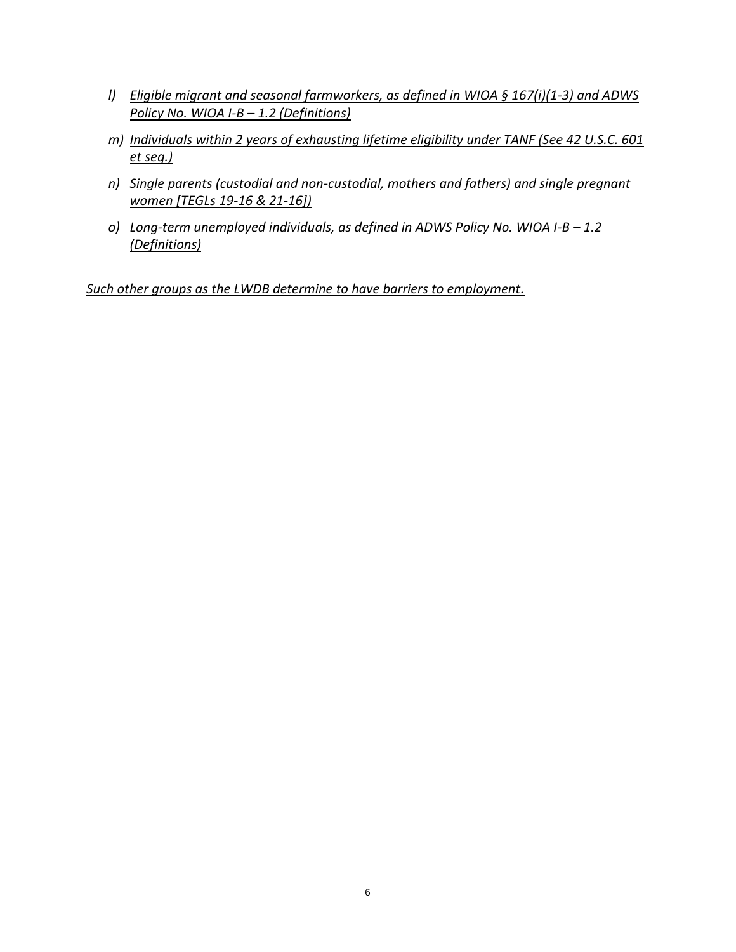- *l) Eligible migrant and seasonal farmworkers, as defined in WIOA § 167(i)(1-3) and ADWS Policy No. WIOA I-B – 1.2 (Definitions)*
- *m) Individuals within 2 years of exhausting lifetime eligibility under TANF (See 42 U.S.C. 601 et seq.)*
- *n) Single parents (custodial and non-custodial, mothers and fathers) and single pregnant women [TEGLs 19-16 & 21-16])*
- *o)* Long-term unemployed individuals, as defined in ADWS Policy No. WIOA I-B 1.2 *(Definitions)*

*Such other groups as the LWDB determine to have barriers to employment.*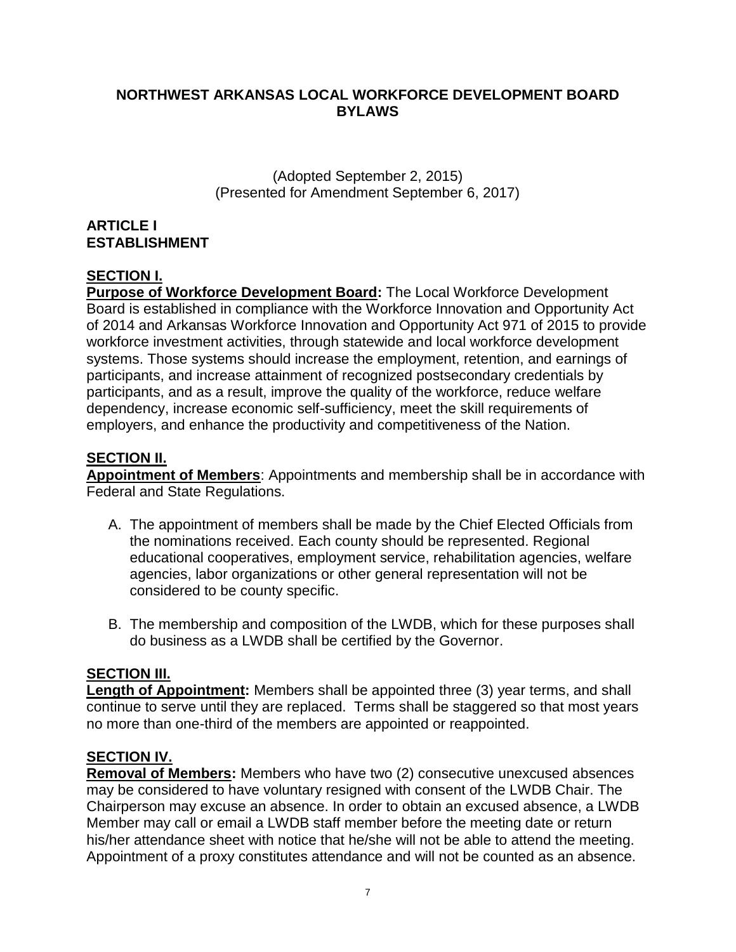## **NORTHWEST ARKANSAS LOCAL WORKFORCE DEVELOPMENT BOARD BYLAWS**

(Adopted September 2, 2015) (Presented for Amendment September 6, 2017)

## **ARTICLE I ESTABLISHMENT**

## **SECTION I.**

**Purpose of Workforce Development Board:** The Local Workforce Development Board is established in compliance with the Workforce Innovation and Opportunity Act of 2014 and Arkansas Workforce Innovation and Opportunity Act 971 of 2015 to provide workforce investment activities, through statewide and local workforce development systems. Those systems should increase the employment, retention, and earnings of participants, and increase attainment of recognized postsecondary credentials by participants, and as a result, improve the quality of the workforce, reduce welfare dependency, increase economic self-sufficiency, meet the skill requirements of employers, and enhance the productivity and competitiveness of the Nation.

## **SECTION II.**

**Appointment of Members**: Appointments and membership shall be in accordance with Federal and State Regulations.

- A. The appointment of members shall be made by the Chief Elected Officials from the nominations received. Each county should be represented. Regional educational cooperatives, employment service, rehabilitation agencies, welfare agencies, labor organizations or other general representation will not be considered to be county specific.
- B. The membership and composition of the LWDB, which for these purposes shall do business as a LWDB shall be certified by the Governor.

## **SECTION III.**

**Length of Appointment:** Members shall be appointed three (3) year terms, and shall continue to serve until they are replaced. Terms shall be staggered so that most years no more than one-third of the members are appointed or reappointed.

#### **SECTION IV.**

**Removal of Members:** Members who have two (2) consecutive unexcused absences may be considered to have voluntary resigned with consent of the LWDB Chair. The Chairperson may excuse an absence. In order to obtain an excused absence, a LWDB Member may call or email a LWDB staff member before the meeting date or return his/her attendance sheet with notice that he/she will not be able to attend the meeting. Appointment of a proxy constitutes attendance and will not be counted as an absence.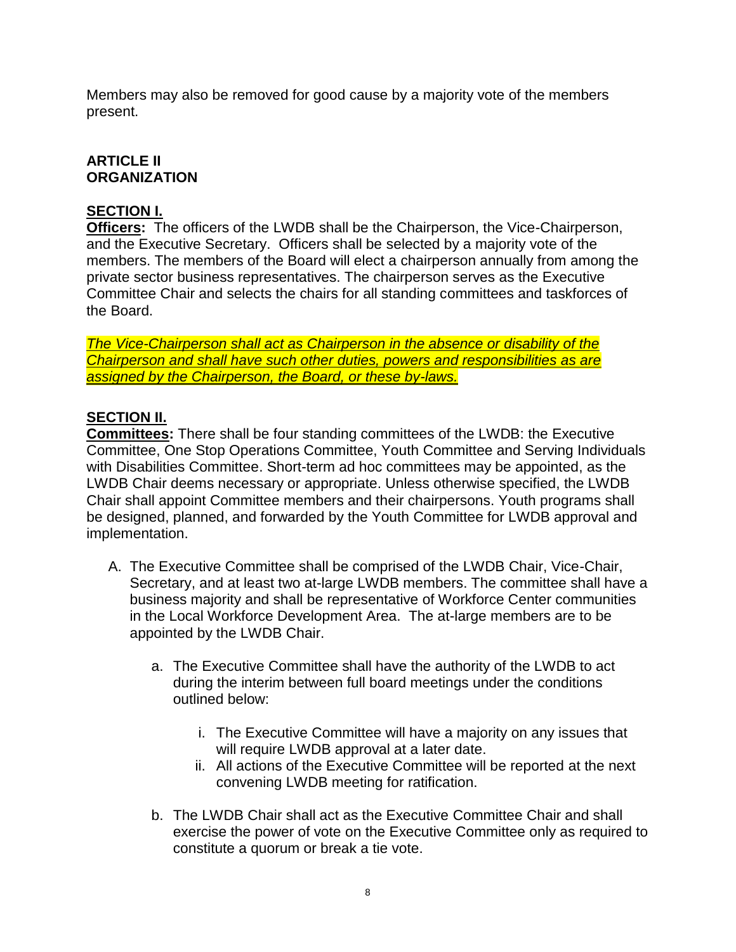Members may also be removed for good cause by a majority vote of the members present.

## **ARTICLE II ORGANIZATION**

## **SECTION I.**

**Officers:** The officers of the LWDB shall be the Chairperson, the Vice-Chairperson, and the Executive Secretary. Officers shall be selected by a majority vote of the members. The members of the Board will elect a chairperson annually from among the private sector business representatives. The chairperson serves as the Executive Committee Chair and selects the chairs for all standing committees and taskforces of the Board.

*The Vice-Chairperson shall act as Chairperson in the absence or disability of the Chairperson and shall have such other duties, powers and responsibilities as are assigned by the Chairperson, the Board, or these by-laws.*

## **SECTION II.**

**Committees:** There shall be four standing committees of the LWDB: the Executive Committee, One Stop Operations Committee, Youth Committee and Serving Individuals with Disabilities Committee. Short-term ad hoc committees may be appointed, as the LWDB Chair deems necessary or appropriate. Unless otherwise specified, the LWDB Chair shall appoint Committee members and their chairpersons. Youth programs shall be designed, planned, and forwarded by the Youth Committee for LWDB approval and implementation.

- A. The Executive Committee shall be comprised of the LWDB Chair, Vice-Chair, Secretary, and at least two at-large LWDB members. The committee shall have a business majority and shall be representative of Workforce Center communities in the Local Workforce Development Area. The at-large members are to be appointed by the LWDB Chair.
	- a. The Executive Committee shall have the authority of the LWDB to act during the interim between full board meetings under the conditions outlined below:
		- i. The Executive Committee will have a majority on any issues that will require LWDB approval at a later date.
		- ii. All actions of the Executive Committee will be reported at the next convening LWDB meeting for ratification.
	- b. The LWDB Chair shall act as the Executive Committee Chair and shall exercise the power of vote on the Executive Committee only as required to constitute a quorum or break a tie vote.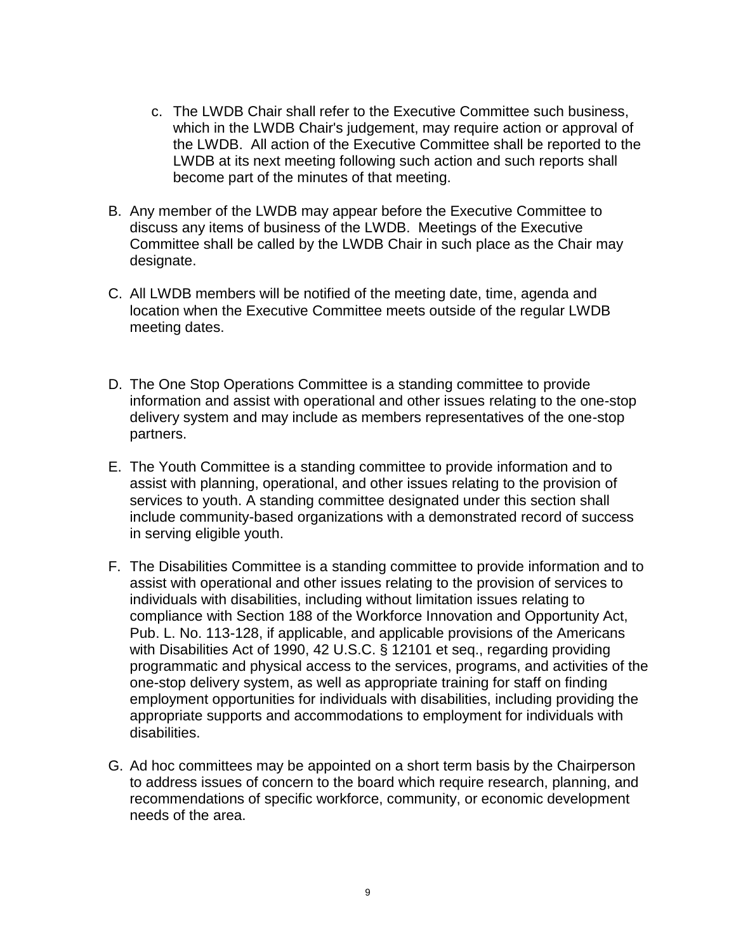- c. The LWDB Chair shall refer to the Executive Committee such business, which in the LWDB Chair's judgement, may require action or approval of the LWDB. All action of the Executive Committee shall be reported to the LWDB at its next meeting following such action and such reports shall become part of the minutes of that meeting.
- B. Any member of the LWDB may appear before the Executive Committee to discuss any items of business of the LWDB. Meetings of the Executive Committee shall be called by the LWDB Chair in such place as the Chair may designate.
- C. All LWDB members will be notified of the meeting date, time, agenda and location when the Executive Committee meets outside of the regular LWDB meeting dates.
- D. The One Stop Operations Committee is a standing committee to provide information and assist with operational and other issues relating to the one-stop delivery system and may include as members representatives of the one-stop partners.
- E. The Youth Committee is a standing committee to provide information and to assist with planning, operational, and other issues relating to the provision of services to youth. A standing committee designated under this section shall include community-based organizations with a demonstrated record of success in serving eligible youth.
- F. The Disabilities Committee is a standing committee to provide information and to assist with operational and other issues relating to the provision of services to individuals with disabilities, including without limitation issues relating to compliance with Section 188 of the Workforce Innovation and Opportunity Act, Pub. L. No. 113-128, if applicable, and applicable provisions of the Americans with Disabilities Act of 1990, 42 U.S.C. § 12101 et seq., regarding providing programmatic and physical access to the services, programs, and activities of the one-stop delivery system, as well as appropriate training for staff on finding employment opportunities for individuals with disabilities, including providing the appropriate supports and accommodations to employment for individuals with disabilities.
- G. Ad hoc committees may be appointed on a short term basis by the Chairperson to address issues of concern to the board which require research, planning, and recommendations of specific workforce, community, or economic development needs of the area.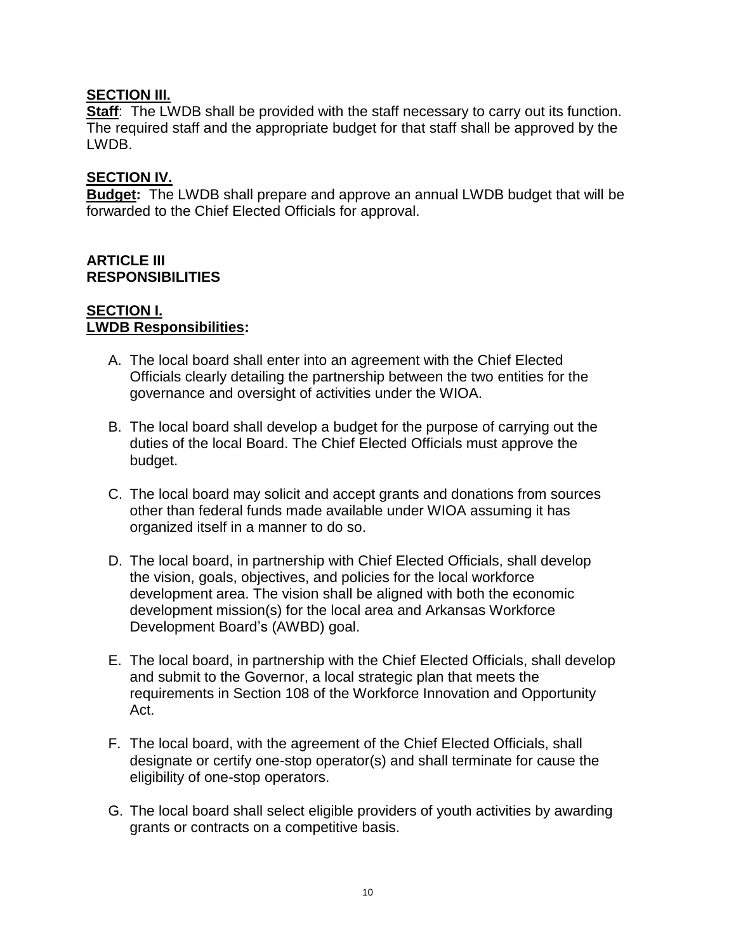#### **SECTION III.**

**Staff:** The LWDB shall be provided with the staff necessary to carry out its function. The required staff and the appropriate budget for that staff shall be approved by the LWDB.

## **SECTION IV.**

**Budget:** The LWDB shall prepare and approve an annual LWDB budget that will be forwarded to the Chief Elected Officials for approval.

#### **ARTICLE III RESPONSIBILITIES**

#### **SECTION I. LWDB Responsibilities:**

- A. The local board shall enter into an agreement with the Chief Elected Officials clearly detailing the partnership between the two entities for the governance and oversight of activities under the WIOA.
- B. The local board shall develop a budget for the purpose of carrying out the duties of the local Board. The Chief Elected Officials must approve the budget.
- C. The local board may solicit and accept grants and donations from sources other than federal funds made available under WIOA assuming it has organized itself in a manner to do so.
- D. The local board, in partnership with Chief Elected Officials, shall develop the vision, goals, objectives, and policies for the local workforce development area. The vision shall be aligned with both the economic development mission(s) for the local area and Arkansas Workforce Development Board's (AWBD) goal.
- E. The local board, in partnership with the Chief Elected Officials, shall develop and submit to the Governor, a local strategic plan that meets the requirements in Section 108 of the Workforce Innovation and Opportunity Act.
- F. The local board, with the agreement of the Chief Elected Officials, shall designate or certify one-stop operator(s) and shall terminate for cause the eligibility of one-stop operators.
- G. The local board shall select eligible providers of youth activities by awarding grants or contracts on a competitive basis.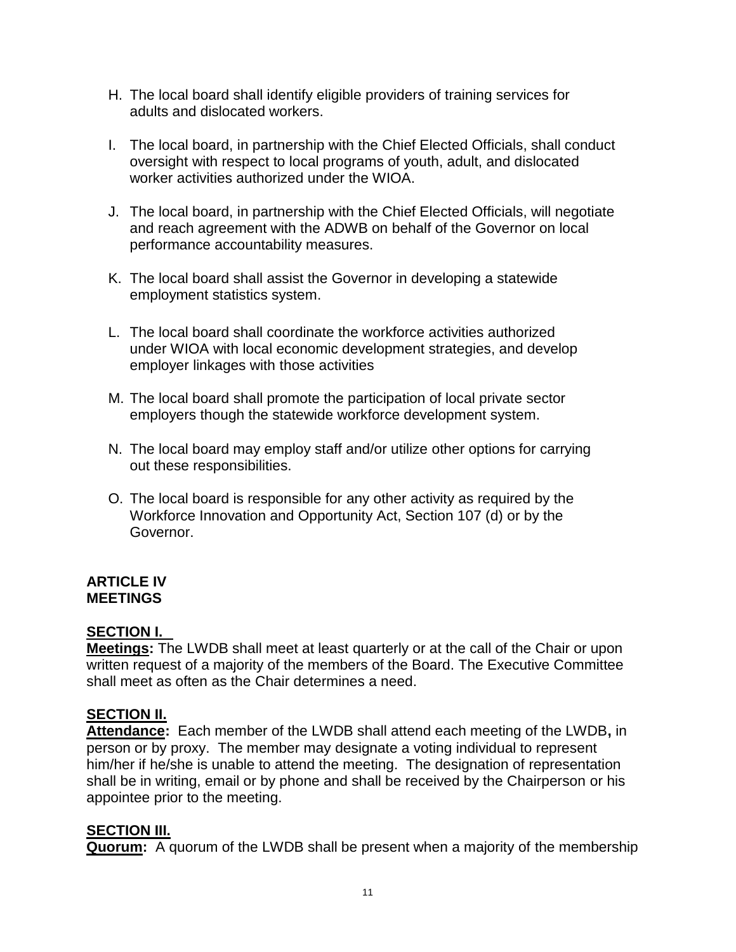- H. The local board shall identify eligible providers of training services for adults and dislocated workers.
- I. The local board, in partnership with the Chief Elected Officials, shall conduct oversight with respect to local programs of youth, adult, and dislocated worker activities authorized under the WIOA.
- J. The local board, in partnership with the Chief Elected Officials, will negotiate and reach agreement with the ADWB on behalf of the Governor on local performance accountability measures.
- K. The local board shall assist the Governor in developing a statewide employment statistics system.
- L. The local board shall coordinate the workforce activities authorized under WIOA with local economic development strategies, and develop employer linkages with those activities
- M. The local board shall promote the participation of local private sector employers though the statewide workforce development system.
- N. The local board may employ staff and/or utilize other options for carrying out these responsibilities.
- O. The local board is responsible for any other activity as required by the Workforce Innovation and Opportunity Act, Section 107 (d) or by the Governor.

#### **ARTICLE IV MEETINGS**

## **SECTION I.**

**Meetings:** The LWDB shall meet at least quarterly or at the call of the Chair or upon written request of a majority of the members of the Board. The Executive Committee shall meet as often as the Chair determines a need.

## **SECTION II.**

**Attendance:** Each member of the LWDB shall attend each meeting of the LWDB**,** in person or by proxy. The member may designate a voting individual to represent him/her if he/she is unable to attend the meeting. The designation of representation shall be in writing, email or by phone and shall be received by the Chairperson or his appointee prior to the meeting.

## **SECTION III.**

**Quorum:** A quorum of the LWDB shall be present when a majority of the membership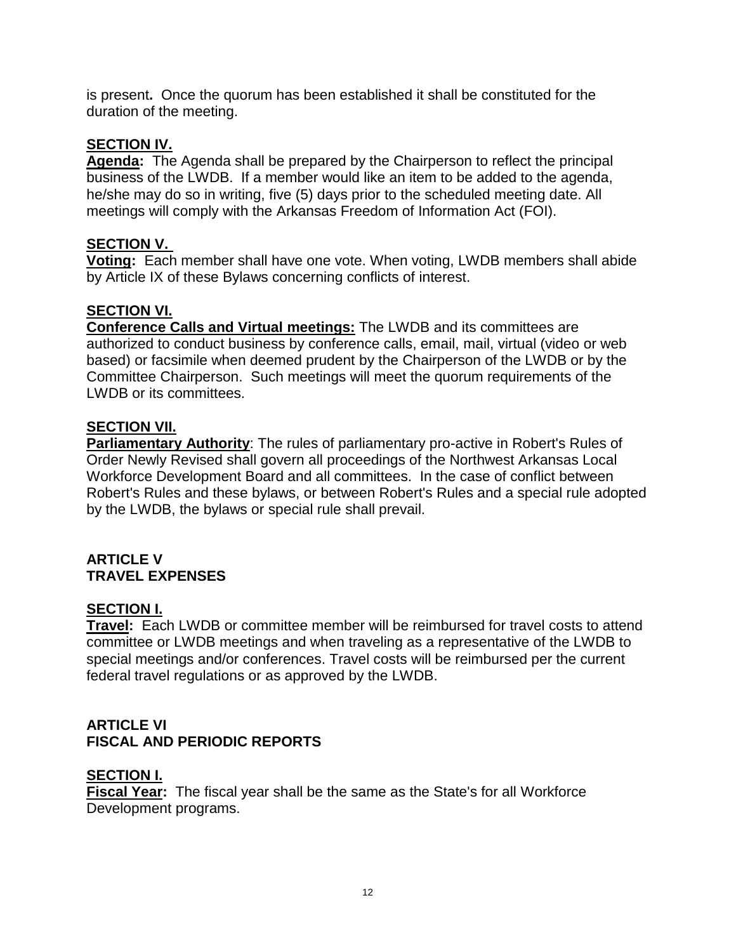is present**.** Once the quorum has been established it shall be constituted for the duration of the meeting.

## **SECTION IV.**

**Agenda:** The Agenda shall be prepared by the Chairperson to reflect the principal business of the LWDB. If a member would like an item to be added to the agenda, he/she may do so in writing, five (5) days prior to the scheduled meeting date. All meetings will comply with the Arkansas Freedom of Information Act (FOI).

#### **SECTION V.**

**Voting:** Each member shall have one vote. When voting, LWDB members shall abide by Article IX of these Bylaws concerning conflicts of interest.

## **SECTION VI.**

**Conference Calls and Virtual meetings:** The LWDB and its committees are authorized to conduct business by conference calls, email, mail, virtual (video or web based) or facsimile when deemed prudent by the Chairperson of the LWDB or by the Committee Chairperson. Such meetings will meet the quorum requirements of the LWDB or its committees.

#### **SECTION VII.**

**Parliamentary Authority**: The rules of parliamentary pro-active in Robert's Rules of Order Newly Revised shall govern all proceedings of the Northwest Arkansas Local Workforce Development Board and all committees. In the case of conflict between Robert's Rules and these bylaws, or between Robert's Rules and a special rule adopted by the LWDB, the bylaws or special rule shall prevail.

#### **ARTICLE V TRAVEL EXPENSES**

#### **SECTION I.**

**Travel:** Each LWDB or committee member will be reimbursed for travel costs to attend committee or LWDB meetings and when traveling as a representative of the LWDB to special meetings and/or conferences. Travel costs will be reimbursed per the current federal travel regulations or as approved by the LWDB.

## **ARTICLE VI FISCAL AND PERIODIC REPORTS**

#### **SECTION I.**

**Fiscal Year:** The fiscal year shall be the same as the State's for all Workforce Development programs.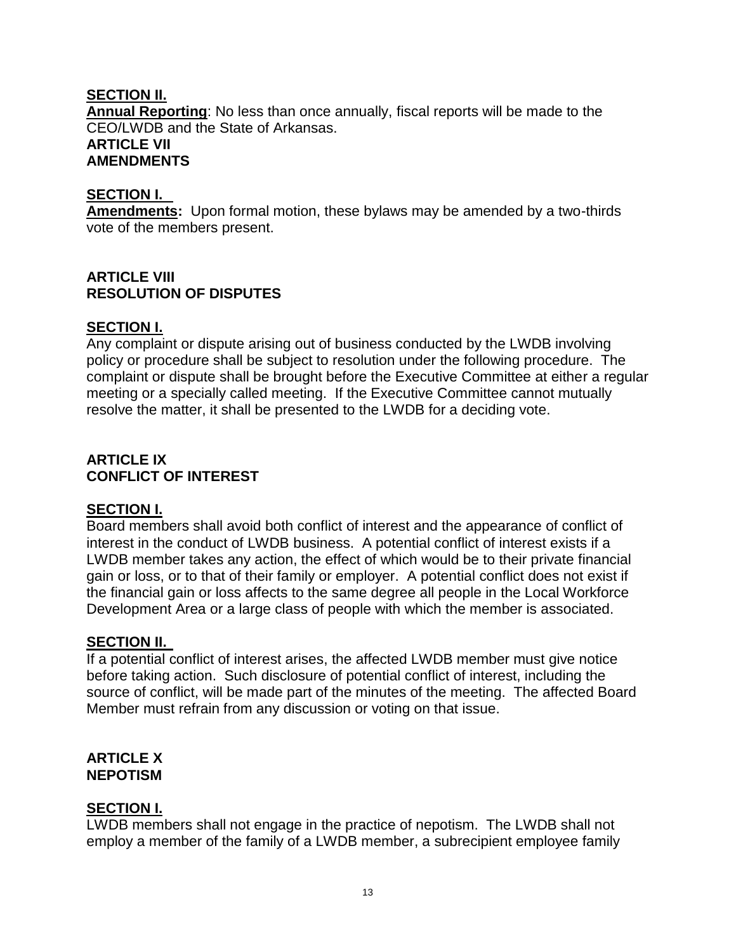## **SECTION II.**

**Annual Reporting**: No less than once annually, fiscal reports will be made to the CEO/LWDB and the State of Arkansas. **ARTICLE VII AMENDMENTS**

#### **SECTION I.**

**Amendments:** Upon formal motion, these bylaws may be amended by a two-thirds vote of the members present.

## **ARTICLE VIII RESOLUTION OF DISPUTES**

## **SECTION I.**

Any complaint or dispute arising out of business conducted by the LWDB involving policy or procedure shall be subject to resolution under the following procedure. The complaint or dispute shall be brought before the Executive Committee at either a regular meeting or a specially called meeting. If the Executive Committee cannot mutually resolve the matter, it shall be presented to the LWDB for a deciding vote.

## **ARTICLE IX CONFLICT OF INTEREST**

#### **SECTION I.**

Board members shall avoid both conflict of interest and the appearance of conflict of interest in the conduct of LWDB business. A potential conflict of interest exists if a LWDB member takes any action, the effect of which would be to their private financial gain or loss, or to that of their family or employer. A potential conflict does not exist if the financial gain or loss affects to the same degree all people in the Local Workforce Development Area or a large class of people with which the member is associated.

#### **SECTION II.**

If a potential conflict of interest arises, the affected LWDB member must give notice before taking action. Such disclosure of potential conflict of interest, including the source of conflict, will be made part of the minutes of the meeting. The affected Board Member must refrain from any discussion or voting on that issue.

#### **ARTICLE X NEPOTISM**

#### **SECTION I.**

LWDB members shall not engage in the practice of nepotism. The LWDB shall not employ a member of the family of a LWDB member, a subrecipient employee family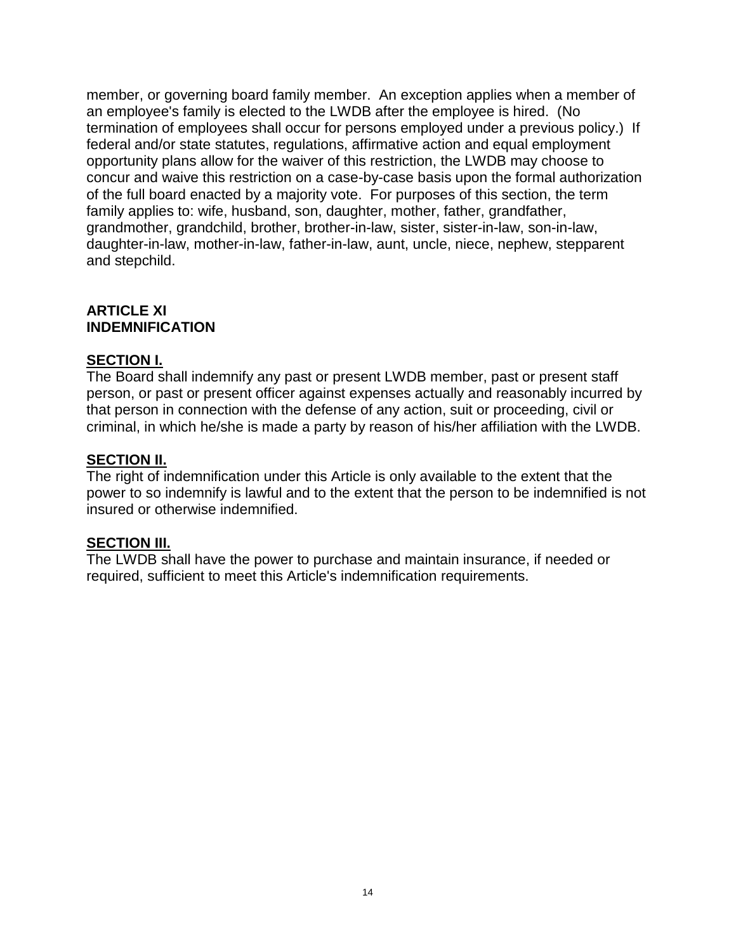member, or governing board family member. An exception applies when a member of an employee's family is elected to the LWDB after the employee is hired. (No termination of employees shall occur for persons employed under a previous policy.) If federal and/or state statutes, regulations, affirmative action and equal employment opportunity plans allow for the waiver of this restriction, the LWDB may choose to concur and waive this restriction on a case-by-case basis upon the formal authorization of the full board enacted by a majority vote. For purposes of this section, the term family applies to: wife, husband, son, daughter, mother, father, grandfather, grandmother, grandchild, brother, brother-in-law, sister, sister-in-law, son-in-law, daughter-in-law, mother-in-law, father-in-law, aunt, uncle, niece, nephew, stepparent and stepchild.

#### **ARTICLE XI INDEMNIFICATION**

#### **SECTION I.**

The Board shall indemnify any past or present LWDB member, past or present staff person, or past or present officer against expenses actually and reasonably incurred by that person in connection with the defense of any action, suit or proceeding, civil or criminal, in which he/she is made a party by reason of his/her affiliation with the LWDB.

#### **SECTION II.**

The right of indemnification under this Article is only available to the extent that the power to so indemnify is lawful and to the extent that the person to be indemnified is not insured or otherwise indemnified.

#### **SECTION III.**

The LWDB shall have the power to purchase and maintain insurance, if needed or required, sufficient to meet this Article's indemnification requirements.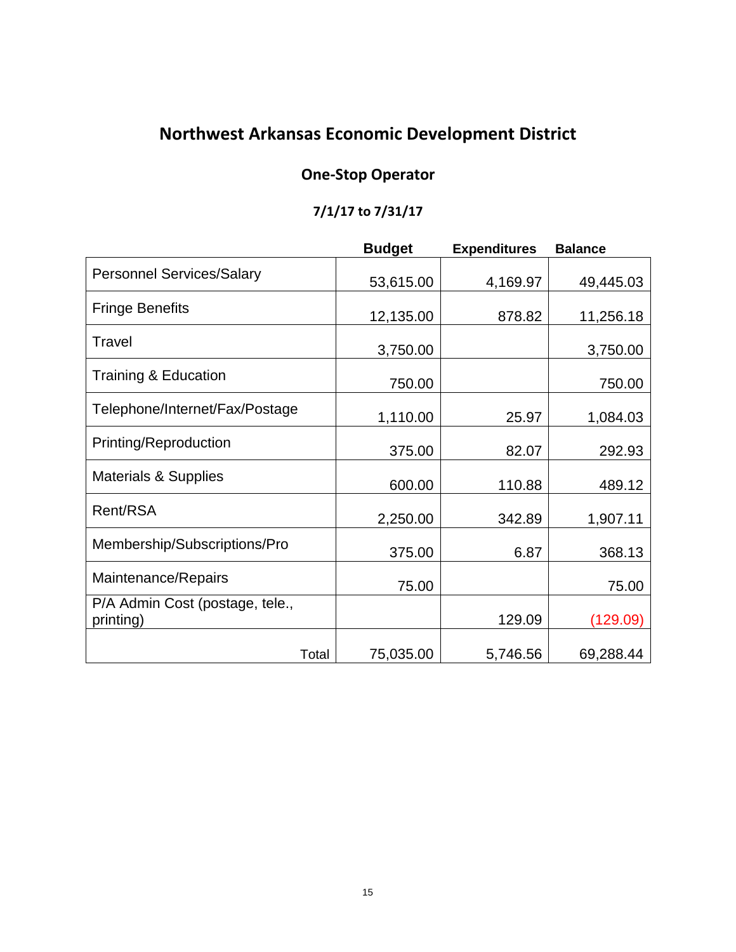# **Northwest Arkansas Economic Development District**

## **One-Stop Operator**

## **7/1/17 to 7/31/17**

|                                              | <b>Budget</b>      | <b>Expenditures</b> | <b>Balance</b> |
|----------------------------------------------|--------------------|---------------------|----------------|
| <b>Personnel Services/Salary</b>             | 53,615.00          | 4,169.97            | 49,445.03      |
| <b>Fringe Benefits</b>                       | 12,135.00          | 878.82              | 11,256.18      |
| Travel                                       | 3,750.00           |                     | 3,750.00       |
| <b>Training &amp; Education</b>              | 750.00             |                     | 750.00         |
| Telephone/Internet/Fax/Postage               | 1,110.00           | 25.97               | 1,084.03       |
| Printing/Reproduction                        | 375.00             | 82.07               | 292.93         |
| <b>Materials &amp; Supplies</b>              | 600.00             | 110.88              | 489.12         |
| Rent/RSA                                     | 2,250.00           | 342.89              | 1,907.11       |
| Membership/Subscriptions/Pro                 | 375.00             | 6.87                | 368.13         |
| Maintenance/Repairs                          | 75.00              |                     | 75.00          |
| P/A Admin Cost (postage, tele.,<br>printing) |                    | 129.09              | (129.09)       |
|                                              | 75,035.00<br>Total | 5,746.56            | 69,288.44      |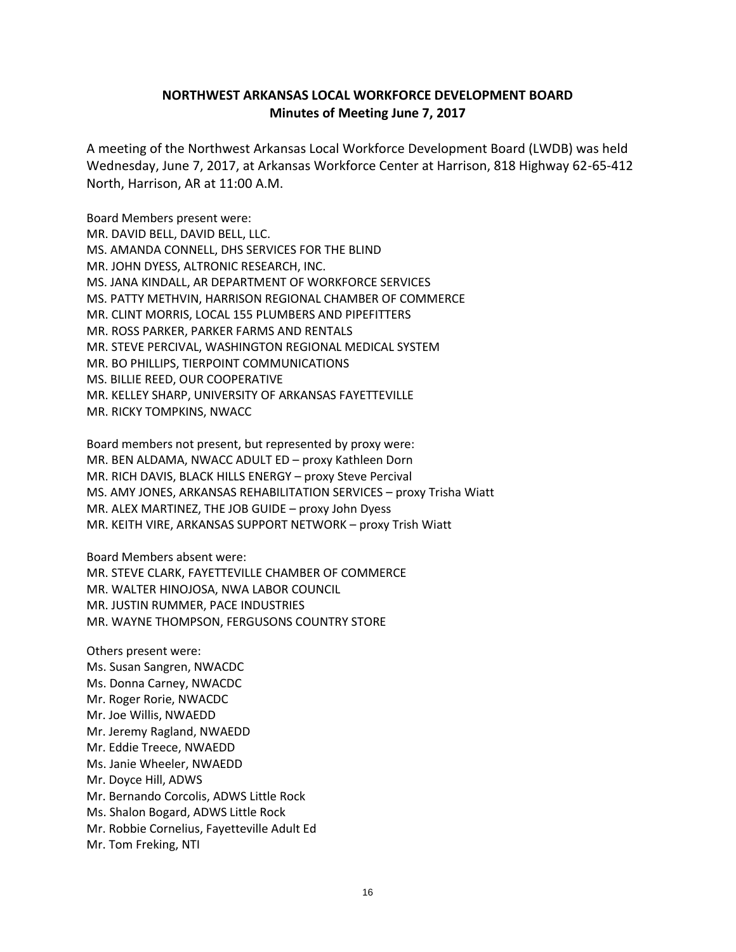#### **NORTHWEST ARKANSAS LOCAL WORKFORCE DEVELOPMENT BOARD Minutes of Meeting June 7, 2017**

A meeting of the Northwest Arkansas Local Workforce Development Board (LWDB) was held Wednesday, June 7, 2017, at Arkansas Workforce Center at Harrison, 818 Highway 62-65-412 North, Harrison, AR at 11:00 A.M.

Board Members present were: MR. DAVID BELL, DAVID BELL, LLC. MS. AMANDA CONNELL, DHS SERVICES FOR THE BLIND MR. JOHN DYESS, ALTRONIC RESEARCH, INC. MS. JANA KINDALL, AR DEPARTMENT OF WORKFORCE SERVICES MS. PATTY METHVIN, HARRISON REGIONAL CHAMBER OF COMMERCE MR. CLINT MORRIS, LOCAL 155 PLUMBERS AND PIPEFITTERS MR. ROSS PARKER, PARKER FARMS AND RENTALS MR. STEVE PERCIVAL, WASHINGTON REGIONAL MEDICAL SYSTEM MR. BO PHILLIPS, TIERPOINT COMMUNICATIONS MS. BILLIE REED, OUR COOPERATIVE MR. KELLEY SHARP, UNIVERSITY OF ARKANSAS FAYETTEVILLE MR. RICKY TOMPKINS, NWACC

Board members not present, but represented by proxy were: MR. BEN ALDAMA, NWACC ADULT ED – proxy Kathleen Dorn MR. RICH DAVIS, BLACK HILLS ENERGY – proxy Steve Percival MS. AMY JONES, ARKANSAS REHABILITATION SERVICES – proxy Trisha Wiatt MR. ALEX MARTINEZ, THE JOB GUIDE – proxy John Dyess MR. KEITH VIRE, ARKANSAS SUPPORT NETWORK – proxy Trish Wiatt

Board Members absent were: MR. STEVE CLARK, FAYETTEVILLE CHAMBER OF COMMERCE MR. WALTER HINOJOSA, NWA LABOR COUNCIL MR. JUSTIN RUMMER, PACE INDUSTRIES MR. WAYNE THOMPSON, FERGUSONS COUNTRY STORE

Others present were: Ms. Susan Sangren, NWACDC Ms. Donna Carney, NWACDC Mr. Roger Rorie, NWACDC Mr. Joe Willis, NWAEDD Mr. Jeremy Ragland, NWAEDD Mr. Eddie Treece, NWAEDD Ms. Janie Wheeler, NWAEDD Mr. Doyce Hill, ADWS Mr. Bernando Corcolis, ADWS Little Rock Ms. Shalon Bogard, ADWS Little Rock Mr. Robbie Cornelius, Fayetteville Adult Ed Mr. Tom Freking, NTI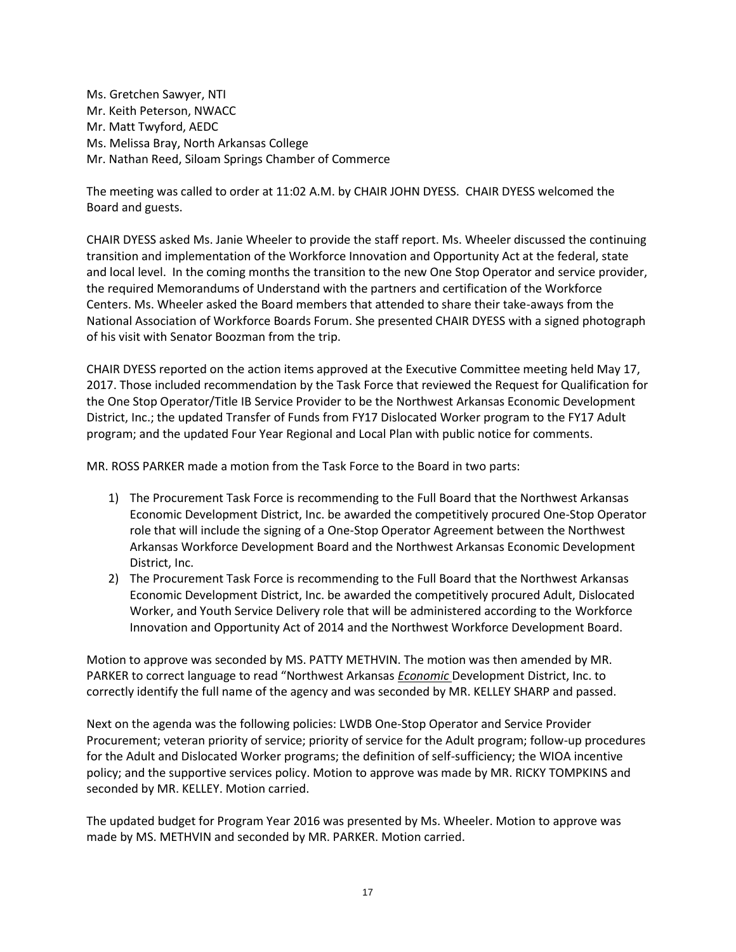Ms. Gretchen Sawyer, NTI Mr. Keith Peterson, NWACC Mr. Matt Twyford, AEDC Ms. Melissa Bray, North Arkansas College Mr. Nathan Reed, Siloam Springs Chamber of Commerce

The meeting was called to order at 11:02 A.M. by CHAIR JOHN DYESS. CHAIR DYESS welcomed the Board and guests.

CHAIR DYESS asked Ms. Janie Wheeler to provide the staff report. Ms. Wheeler discussed the continuing transition and implementation of the Workforce Innovation and Opportunity Act at the federal, state and local level. In the coming months the transition to the new One Stop Operator and service provider, the required Memorandums of Understand with the partners and certification of the Workforce Centers. Ms. Wheeler asked the Board members that attended to share their take-aways from the National Association of Workforce Boards Forum. She presented CHAIR DYESS with a signed photograph of his visit with Senator Boozman from the trip.

CHAIR DYESS reported on the action items approved at the Executive Committee meeting held May 17, 2017. Those included recommendation by the Task Force that reviewed the Request for Qualification for the One Stop Operator/Title IB Service Provider to be the Northwest Arkansas Economic Development District, Inc.; the updated Transfer of Funds from FY17 Dislocated Worker program to the FY17 Adult program; and the updated Four Year Regional and Local Plan with public notice for comments.

MR. ROSS PARKER made a motion from the Task Force to the Board in two parts:

- 1) The Procurement Task Force is recommending to the Full Board that the Northwest Arkansas Economic Development District, Inc. be awarded the competitively procured One-Stop Operator role that will include the signing of a One-Stop Operator Agreement between the Northwest Arkansas Workforce Development Board and the Northwest Arkansas Economic Development District, Inc.
- 2) The Procurement Task Force is recommending to the Full Board that the Northwest Arkansas Economic Development District, Inc. be awarded the competitively procured Adult, Dislocated Worker, and Youth Service Delivery role that will be administered according to the Workforce Innovation and Opportunity Act of 2014 and the Northwest Workforce Development Board.

Motion to approve was seconded by MS. PATTY METHVIN. The motion was then amended by MR. PARKER to correct language to read "Northwest Arkansas *Economic* Development District, Inc. to correctly identify the full name of the agency and was seconded by MR. KELLEY SHARP and passed.

Next on the agenda was the following policies: LWDB One-Stop Operator and Service Provider Procurement; veteran priority of service; priority of service for the Adult program; follow-up procedures for the Adult and Dislocated Worker programs; the definition of self-sufficiency; the WIOA incentive policy; and the supportive services policy. Motion to approve was made by MR. RICKY TOMPKINS and seconded by MR. KELLEY. Motion carried.

The updated budget for Program Year 2016 was presented by Ms. Wheeler. Motion to approve was made by MS. METHVIN and seconded by MR. PARKER. Motion carried.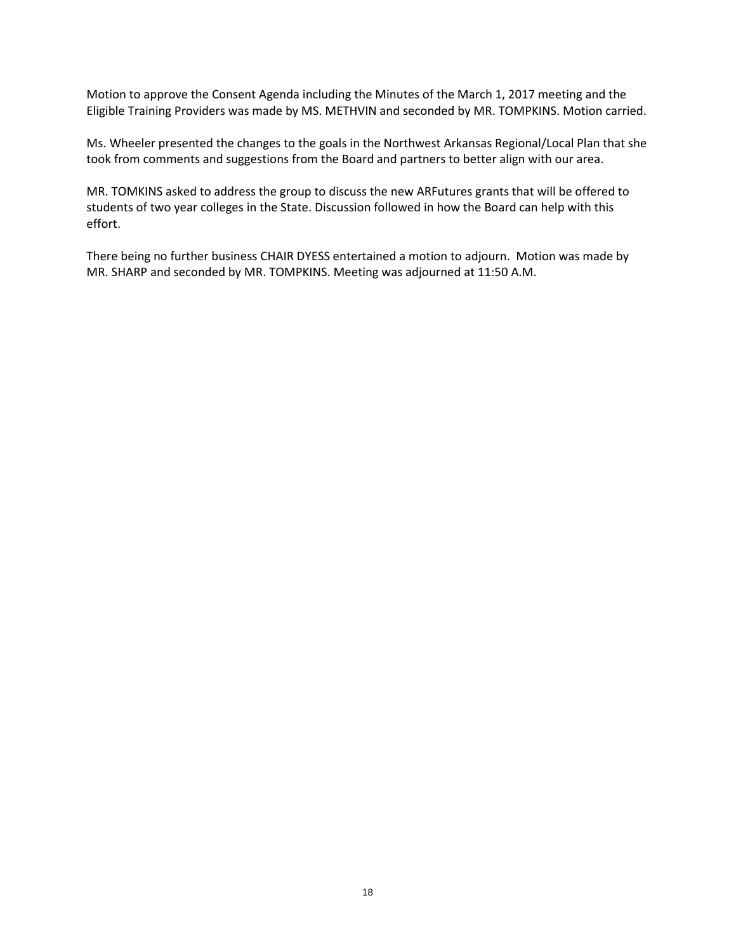Motion to approve the Consent Agenda including the Minutes of the March 1, 2017 meeting and the Eligible Training Providers was made by MS. METHVIN and seconded by MR. TOMPKINS. Motion carried.

Ms. Wheeler presented the changes to the goals in the Northwest Arkansas Regional/Local Plan that she took from comments and suggestions from the Board and partners to better align with our area.

MR. TOMKINS asked to address the group to discuss the new ARFutures grants that will be offered to students of two year colleges in the State. Discussion followed in how the Board can help with this effort.

There being no further business CHAIR DYESS entertained a motion to adjourn. Motion was made by MR. SHARP and seconded by MR. TOMPKINS. Meeting was adjourned at 11:50 A.M.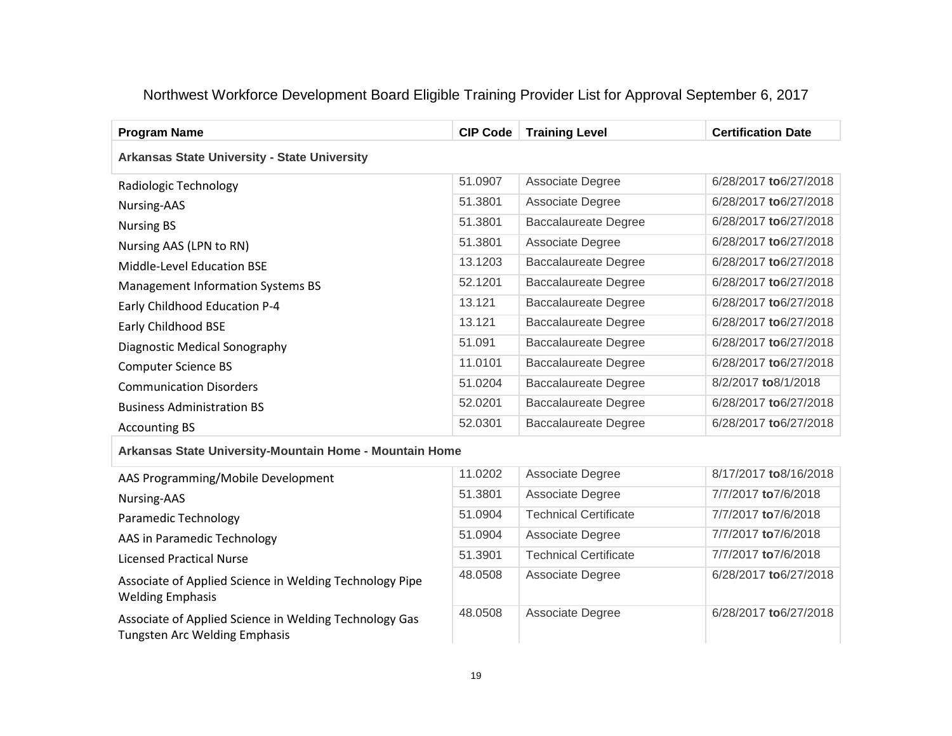## Northwest Workforce Development Board Eligible Training Provider List for Approval September 6, 2017

| <b>Program Name</b>                                     | <b>CIP Code</b> | <b>Training Level</b>        | <b>Certification Date</b> |  |  |
|---------------------------------------------------------|-----------------|------------------------------|---------------------------|--|--|
| <b>Arkansas State University - State University</b>     |                 |                              |                           |  |  |
| Radiologic Technology                                   | 51.0907         | Associate Degree             | 6/28/2017 to 6/27/2018    |  |  |
| Nursing-AAS                                             | 51.3801         | Associate Degree             | 6/28/2017 to 6/27/2018    |  |  |
| <b>Nursing BS</b>                                       | 51.3801         | <b>Baccalaureate Degree</b>  | 6/28/2017 to 6/27/2018    |  |  |
| Nursing AAS (LPN to RN)                                 | 51.3801         | Associate Degree             | 6/28/2017 to 6/27/2018    |  |  |
| Middle-Level Education BSE                              | 13.1203         | <b>Baccalaureate Degree</b>  | 6/28/2017 to 6/27/2018    |  |  |
| <b>Management Information Systems BS</b>                | 52.1201         | <b>Baccalaureate Degree</b>  | 6/28/2017 to 6/27/2018    |  |  |
| Early Childhood Education P-4                           | 13.121          | <b>Baccalaureate Degree</b>  | 6/28/2017 to 6/27/2018    |  |  |
| Early Childhood BSE                                     | 13.121          | <b>Baccalaureate Degree</b>  | 6/28/2017 to 6/27/2018    |  |  |
| Diagnostic Medical Sonography                           | 51.091          | <b>Baccalaureate Degree</b>  | 6/28/2017 to 6/27/2018    |  |  |
| <b>Computer Science BS</b>                              | 11.0101         | <b>Baccalaureate Degree</b>  | 6/28/2017 to 6/27/2018    |  |  |
| <b>Communication Disorders</b>                          | 51.0204         | <b>Baccalaureate Degree</b>  | 8/2/2017 to8/1/2018       |  |  |
| <b>Business Administration BS</b>                       | 52.0201         | <b>Baccalaureate Degree</b>  | 6/28/2017 to 6/27/2018    |  |  |
| <b>Accounting BS</b>                                    | 52.0301         | <b>Baccalaureate Degree</b>  | 6/28/2017 to 6/27/2018    |  |  |
| Arkansas State University-Mountain Home - Mountain Home |                 |                              |                           |  |  |
| AAS Programming/Mobile Development                      | 11.0202         | Associate Degree             | 8/17/2017 to8/16/2018     |  |  |
| Nursing-AAS                                             | 51.3801         | Associate Degree             | 7/7/2017 to 7/6/2018      |  |  |
| Paramedic Technology                                    | 51.0904         | <b>Technical Certificate</b> | 7/7/2017 to7/6/2018       |  |  |
| AAS in Paramedic Technology                             | 51.0904         | Associate Degree             | 7/7/2017 to7/6/2018       |  |  |

Licensed Practical Nurse

Associate of Applied Science in Welding Technology Pipe Welding Emphasis

Associate of Applied Science in Welding Technology Gas Tungsten Arc Welding Emphasis

| 11. UZUZ | AUJUURIU DUUIUU              |                        |
|----------|------------------------------|------------------------|
| 51.3801  | Associate Degree             | 7/7/2017 to 7/6/2018   |
| 51.0904  | <b>Technical Certificate</b> | 7/7/2017 to 7/6/2018   |
| 51.0904  | Associate Degree             | 7/7/2017 to 7/6/2018   |
| 51.3901  | <b>Technical Certificate</b> | 7/7/2017 to 7/6/2018   |
| 48.0508  | Associate Degree             | 6/28/2017 to 6/27/2018 |
| 48.0508  | Associate Degree             | 6/28/2017 to 6/27/2018 |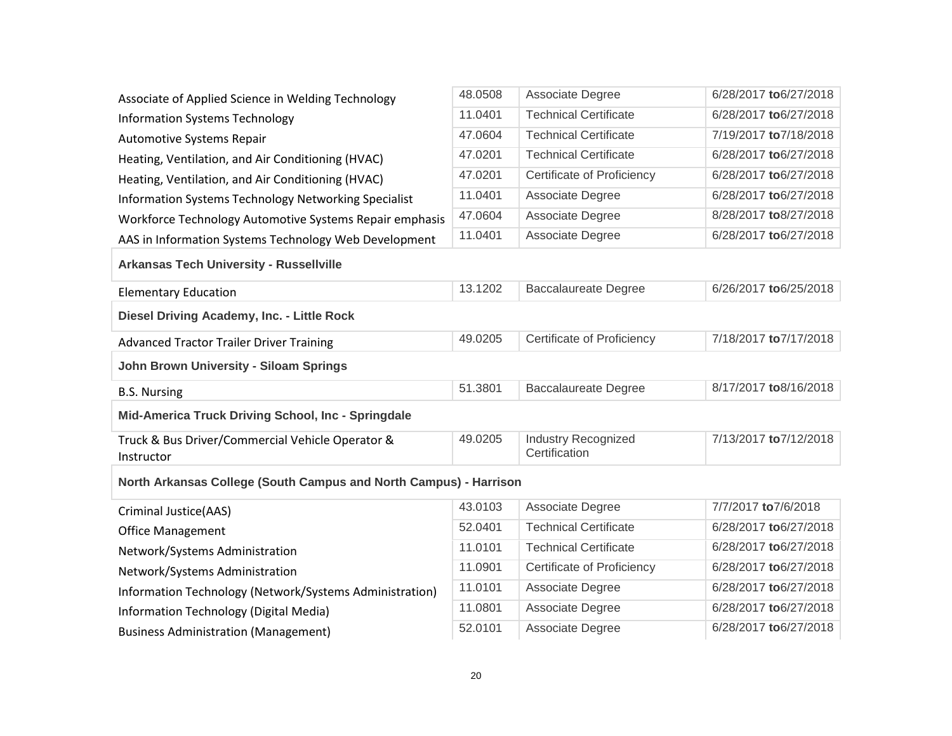| Associate of Applied Science in Welding Technology                | 48.0508 | Associate Degree                            | 6/28/2017 to 6/27/2018 |
|-------------------------------------------------------------------|---------|---------------------------------------------|------------------------|
| <b>Information Systems Technology</b>                             | 11.0401 | <b>Technical Certificate</b>                | 6/28/2017 to 6/27/2018 |
| Automotive Systems Repair                                         | 47.0604 | <b>Technical Certificate</b>                | 7/19/2017 to 7/18/2018 |
| Heating, Ventilation, and Air Conditioning (HVAC)                 | 47.0201 | <b>Technical Certificate</b>                | 6/28/2017 to 6/27/2018 |
| Heating, Ventilation, and Air Conditioning (HVAC)                 | 47.0201 | Certificate of Proficiency                  | 6/28/2017 to 6/27/2018 |
| Information Systems Technology Networking Specialist              | 11.0401 | Associate Degree                            | 6/28/2017 to 6/27/2018 |
| Workforce Technology Automotive Systems Repair emphasis           | 47.0604 | Associate Degree                            | 8/28/2017 to8/27/2018  |
| AAS in Information Systems Technology Web Development             | 11.0401 | Associate Degree                            | 6/28/2017 to 6/27/2018 |
| <b>Arkansas Tech University - Russellville</b>                    |         |                                             |                        |
| <b>Elementary Education</b>                                       | 13.1202 | <b>Baccalaureate Degree</b>                 | 6/26/2017 to 6/25/2018 |
| Diesel Driving Academy, Inc. - Little Rock                        |         |                                             |                        |
| <b>Advanced Tractor Trailer Driver Training</b>                   | 49.0205 | Certificate of Proficiency                  | 7/18/2017 to 7/17/2018 |
| John Brown University - Siloam Springs                            |         |                                             |                        |
| <b>B.S. Nursing</b>                                               | 51.3801 | <b>Baccalaureate Degree</b>                 | 8/17/2017 to8/16/2018  |
| Mid-America Truck Driving School, Inc - Springdale                |         |                                             |                        |
| Truck & Bus Driver/Commercial Vehicle Operator &<br>Instructor    | 49.0205 | <b>Industry Recognized</b><br>Certification | 7/13/2017 to 7/12/2018 |
| North Arkansas College (South Campus and North Campus) - Harrison |         |                                             |                        |
| Criminal Justice(AAS)                                             | 43.0103 | Associate Degree                            | 7/7/2017 to7/6/2018    |
| <b>Office Management</b>                                          | 52.0401 | <b>Technical Certificate</b>                | 6/28/2017 to 6/27/2018 |
| Network/Systems Administration                                    | 11.0101 | <b>Technical Certificate</b>                | 6/28/2017 to 6/27/2018 |
| Network/Systems Administration                                    | 11.0901 | Certificate of Proficiency                  | 6/28/2017 to 6/27/2018 |
| Information Technology (Network/Systems Administration)           | 11.0101 | Associate Degree                            | 6/28/2017 to 6/27/2018 |
| Information Technology (Digital Media)                            | 11.0801 | Associate Degree                            | 6/28/2017 to 6/27/2018 |
| <b>Business Administration (Management)</b>                       | 52.0101 | Associate Degree                            | 6/28/2017 to 6/27/2018 |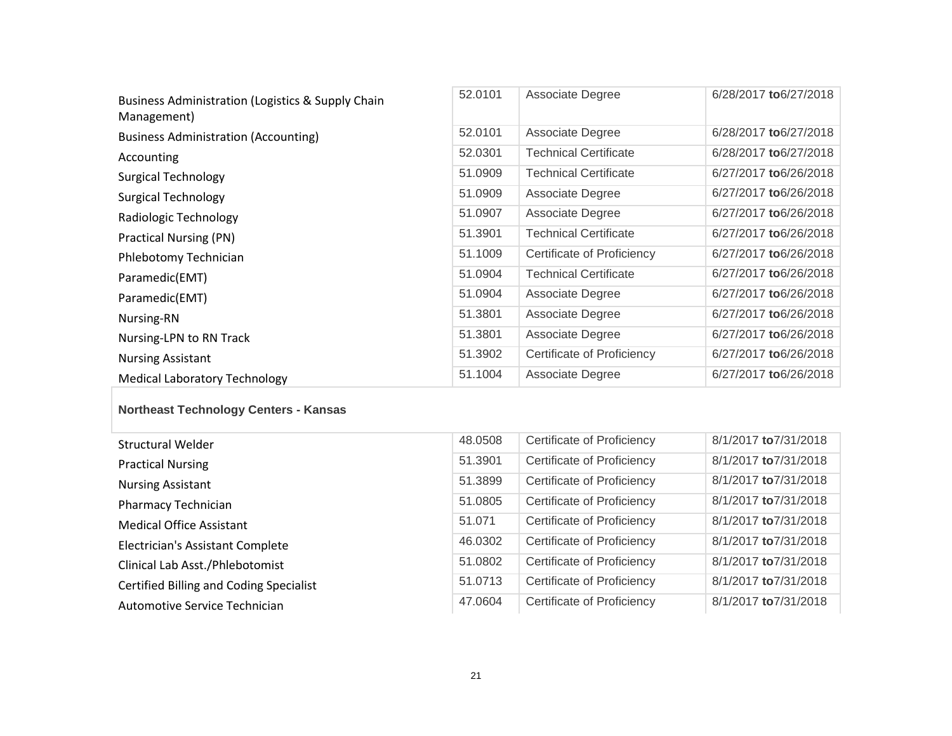| Business Administration (Logistics & Supply Chain<br>Management) | 52.0101 | Associate Degree             | 6/28/2017 to 6/27/2018 |
|------------------------------------------------------------------|---------|------------------------------|------------------------|
| <b>Business Administration (Accounting)</b>                      | 52.0101 | Associate Degree             | 6/28/2017 to 6/27/2018 |
| Accounting                                                       | 52.0301 | <b>Technical Certificate</b> | 6/28/2017 to 6/27/2018 |
| <b>Surgical Technology</b>                                       | 51.0909 | Technical Certificate        | 6/27/2017 to 6/26/2018 |
| Surgical Technology                                              | 51.0909 | Associate Degree             | 6/27/2017 to 6/26/2018 |
| Radiologic Technology                                            | 51.0907 | Associate Degree             | 6/27/2017 to 6/26/2018 |
| Practical Nursing (PN)                                           | 51.3901 | <b>Technical Certificate</b> | 6/27/2017 to 6/26/2018 |
| Phlebotomy Technician                                            | 51.1009 | Certificate of Proficiency   | 6/27/2017 to 6/26/2018 |
| Paramedic(EMT)                                                   | 51.0904 | <b>Technical Certificate</b> | 6/27/2017 to 6/26/2018 |
| Paramedic(EMT)                                                   | 51.0904 | Associate Degree             | 6/27/2017 to 6/26/2018 |
| Nursing-RN                                                       | 51.3801 | Associate Degree             | 6/27/2017 to 6/26/2018 |
| Nursing-LPN to RN Track                                          | 51.3801 | Associate Degree             | 6/27/2017 to 6/26/2018 |
| <b>Nursing Assistant</b>                                         | 51.3902 | Certificate of Proficiency   | 6/27/2017 to 6/26/2018 |
| <b>Medical Laboratory Technology</b>                             | 51.1004 | Associate Degree             | 6/27/2017 to 6/26/2018 |

## **Northeast Technology Centers - Kansas**

| <b>Structural Welder</b>                       | 48.0508 | Certificate of Proficiency        | 8/1/2017 to 7/31/2018 |
|------------------------------------------------|---------|-----------------------------------|-----------------------|
| <b>Practical Nursing</b>                       | 51.3901 | Certificate of Proficiency        | 8/1/2017 to 7/31/2018 |
| <b>Nursing Assistant</b>                       | 51.3899 | Certificate of Proficiency        | 8/1/2017 to 7/31/2018 |
| Pharmacy Technician                            | 51.0805 | Certificate of Proficiency        | 8/1/2017 to 7/31/2018 |
| <b>Medical Office Assistant</b>                | 51.071  | Certificate of Proficiency        | 8/1/2017 to 7/31/2018 |
| Electrician's Assistant Complete               | 46.0302 | Certificate of Proficiency        | 8/1/2017 to 7/31/2018 |
| Clinical Lab Asst./Phlebotomist                | 51.0802 | Certificate of Proficiency        | 8/1/2017 to 7/31/2018 |
| <b>Certified Billing and Coding Specialist</b> | 51.0713 | Certificate of Proficiency        | 8/1/2017 to 7/31/2018 |
| Automotive Service Technician                  | 47.0604 | <b>Certificate of Proficiency</b> | 8/1/2017 to 7/31/2018 |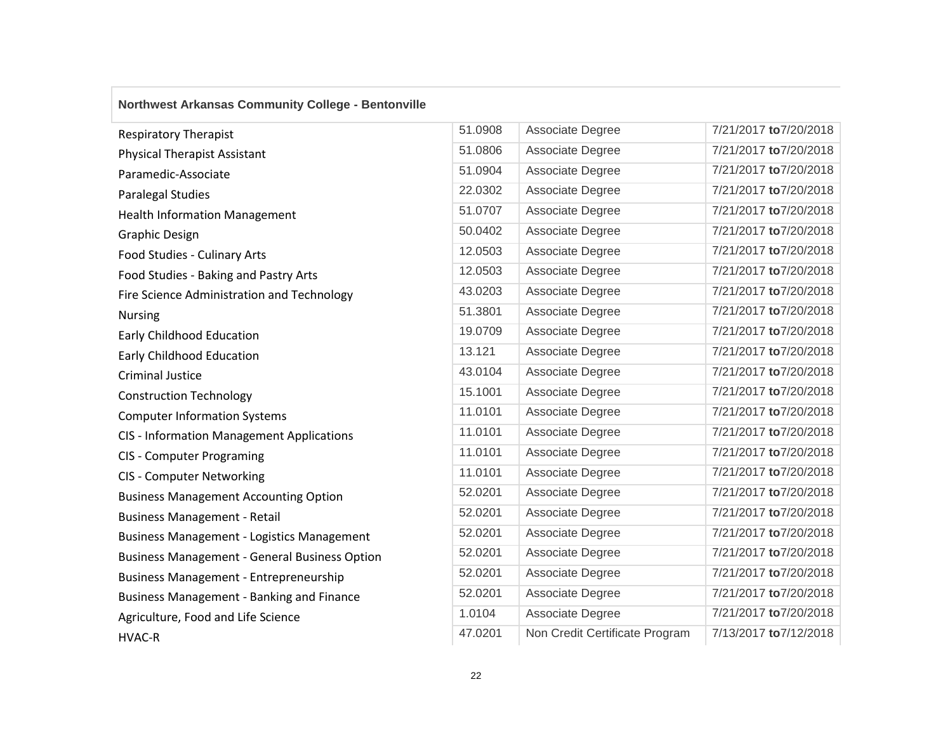## **Northwest Arkansas Community College - Bentonville**

| <b>Respiratory Therapist</b>                         | 51.0908 | Associate Degree               | 7/21/2017 to7/20/2018  |
|------------------------------------------------------|---------|--------------------------------|------------------------|
| <b>Physical Therapist Assistant</b>                  | 51.0806 | Associate Degree               | 7/21/2017 to 7/20/2018 |
| Paramedic-Associate                                  | 51.0904 | Associate Degree               | 7/21/2017 to7/20/2018  |
| Paralegal Studies                                    | 22.0302 | Associate Degree               | 7/21/2017 to7/20/2018  |
| <b>Health Information Management</b>                 | 51.0707 | Associate Degree               | 7/21/2017 to7/20/2018  |
| <b>Graphic Design</b>                                | 50.0402 | Associate Degree               | 7/21/2017 to 7/20/2018 |
| Food Studies - Culinary Arts                         | 12.0503 | Associate Degree               | 7/21/2017 to7/20/2018  |
| Food Studies - Baking and Pastry Arts                | 12.0503 | Associate Degree               | 7/21/2017 to 7/20/2018 |
| Fire Science Administration and Technology           | 43.0203 | Associate Degree               | 7/21/2017 to 7/20/2018 |
| <b>Nursing</b>                                       | 51.3801 | Associate Degree               | 7/21/2017 to7/20/2018  |
| <b>Early Childhood Education</b>                     | 19.0709 | Associate Degree               | 7/21/2017 to 7/20/2018 |
| <b>Early Childhood Education</b>                     | 13.121  | Associate Degree               | 7/21/2017 to 7/20/2018 |
| <b>Criminal Justice</b>                              | 43.0104 | Associate Degree               | 7/21/2017 to 7/20/2018 |
| <b>Construction Technology</b>                       | 15.1001 | Associate Degree               | 7/21/2017 to7/20/2018  |
| <b>Computer Information Systems</b>                  | 11.0101 | Associate Degree               | 7/21/2017 to 7/20/2018 |
| <b>CIS - Information Management Applications</b>     | 11.0101 | Associate Degree               | 7/21/2017 to 7/20/2018 |
| <b>CIS - Computer Programing</b>                     | 11.0101 | Associate Degree               | 7/21/2017 to7/20/2018  |
| <b>CIS - Computer Networking</b>                     | 11.0101 | Associate Degree               | 7/21/2017 to 7/20/2018 |
| <b>Business Management Accounting Option</b>         | 52.0201 | Associate Degree               | 7/21/2017 to7/20/2018  |
| <b>Business Management - Retail</b>                  | 52.0201 | Associate Degree               | 7/21/2017 to 7/20/2018 |
| <b>Business Management - Logistics Management</b>    | 52.0201 | Associate Degree               | 7/21/2017 to7/20/2018  |
| <b>Business Management - General Business Option</b> | 52.0201 | Associate Degree               | 7/21/2017 to7/20/2018  |
| <b>Business Management - Entrepreneurship</b>        | 52.0201 | Associate Degree               | 7/21/2017 to7/20/2018  |
| <b>Business Management - Banking and Finance</b>     | 52.0201 | Associate Degree               | 7/21/2017 to7/20/2018  |
| Agriculture, Food and Life Science                   | 1.0104  | Associate Degree               | 7/21/2017 to7/20/2018  |
| <b>HVAC-R</b>                                        | 47.0201 | Non Credit Certificate Program | 7/13/2017 to 7/12/2018 |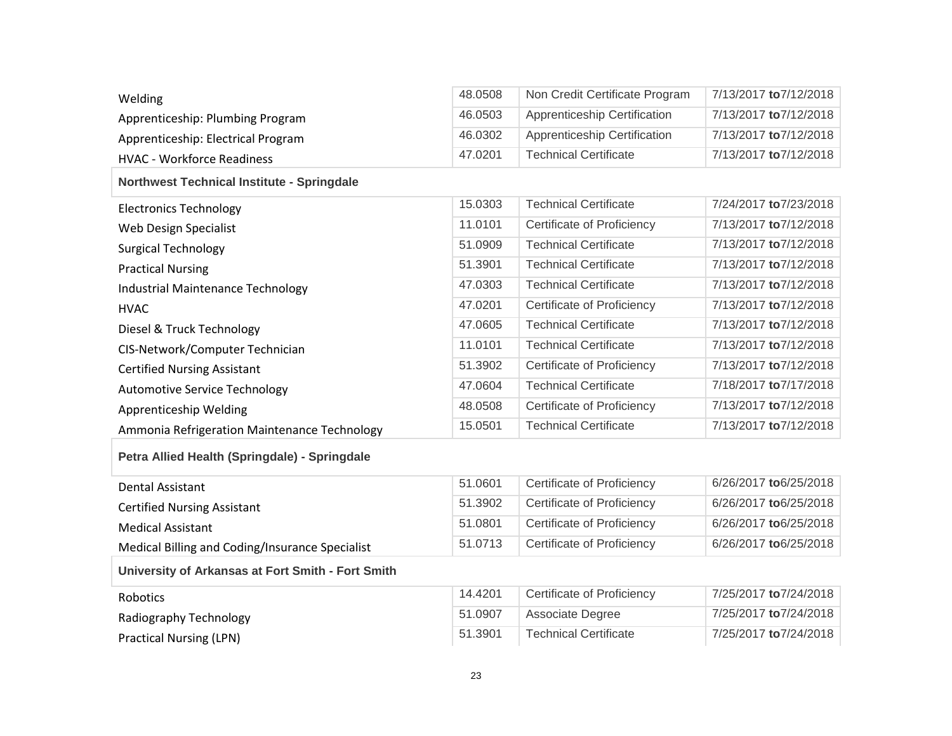| Welding                                           | 48.0508 | Non Credit Certificate Program    | 7/13/2017 to 7/12/2018 |  |  |
|---------------------------------------------------|---------|-----------------------------------|------------------------|--|--|
| Apprenticeship: Plumbing Program                  | 46.0503 | Apprenticeship Certification      | 7/13/2017 to 7/12/2018 |  |  |
| Apprenticeship: Electrical Program                | 46.0302 | Apprenticeship Certification      | 7/13/2017 to 7/12/2018 |  |  |
| <b>HVAC - Workforce Readiness</b>                 | 47.0201 | <b>Technical Certificate</b>      | 7/13/2017 to 7/12/2018 |  |  |
| <b>Northwest Technical Institute - Springdale</b> |         |                                   |                        |  |  |
| <b>Electronics Technology</b>                     | 15.0303 | <b>Technical Certificate</b>      | 7/24/2017 to 7/23/2018 |  |  |
| Web Design Specialist                             | 11.0101 | Certificate of Proficiency        | 7/13/2017 to 7/12/2018 |  |  |
| <b>Surgical Technology</b>                        | 51.0909 | <b>Technical Certificate</b>      | 7/13/2017 to 7/12/2018 |  |  |
| <b>Practical Nursing</b>                          | 51.3901 | <b>Technical Certificate</b>      | 7/13/2017 to 7/12/2018 |  |  |
| <b>Industrial Maintenance Technology</b>          | 47.0303 | <b>Technical Certificate</b>      | 7/13/2017 to 7/12/2018 |  |  |
| <b>HVAC</b>                                       | 47.0201 | Certificate of Proficiency        | 7/13/2017 to 7/12/2018 |  |  |
| Diesel & Truck Technology                         | 47.0605 | <b>Technical Certificate</b>      | 7/13/2017 to 7/12/2018 |  |  |
| CIS-Network/Computer Technician                   | 11.0101 | <b>Technical Certificate</b>      | 7/13/2017 to 7/12/2018 |  |  |
| <b>Certified Nursing Assistant</b>                | 51.3902 | Certificate of Proficiency        | 7/13/2017 to 7/12/2018 |  |  |
| <b>Automotive Service Technology</b>              | 47.0604 | <b>Technical Certificate</b>      | 7/18/2017 to 7/17/2018 |  |  |
| Apprenticeship Welding                            | 48.0508 | Certificate of Proficiency        | 7/13/2017 to 7/12/2018 |  |  |
| Ammonia Refrigeration Maintenance Technology      | 15.0501 | <b>Technical Certificate</b>      | 7/13/2017 to 7/12/2018 |  |  |
| Petra Allied Health (Springdale) - Springdale     |         |                                   |                        |  |  |
| <b>Dental Assistant</b>                           | 51.0601 | Certificate of Proficiency        | 6/26/2017 to 6/25/2018 |  |  |
| <b>Certified Nursing Assistant</b>                | 51.3902 | Certificate of Proficiency        | 6/26/2017 to 6/25/2018 |  |  |
| <b>Medical Assistant</b>                          | 51.0801 | <b>Certificate of Proficiency</b> | 6/26/2017 to 6/25/2018 |  |  |

#### **University of Arkansas at Fort Smith - Fort Smith**

| Robotics                | 14.4201 | Certificate of Proficiency | 7/25/2017 to 7/24/2018 |
|-------------------------|---------|----------------------------|------------------------|
| Radiography Technology  | 51.0907 | Associate Degree           | 7/25/2017 to 7/24/2018 |
| Practical Nursing (LPN) | 51.3901 | Technical Certificate      | 7/25/2017 to 7/24/2018 |

Medical Billing and Coding/Insurance Specialist 51.0713 Certificate of Proficiency 6/26/2017 **to**6/25/2018